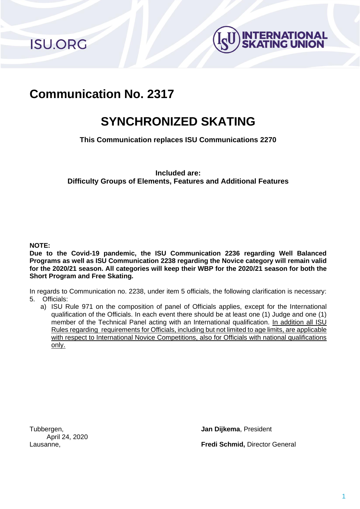**ISU.ORG** 



# **Communication No. 2317**

# **SYNCHRONIZED SKATING**

**This Communication replaces ISU Communications 2270**

**Included are: Difficulty Groups of Elements, Features and Additional Features**

#### **NOTE:**

**Due to the Covid-19 pandemic, the ISU Communication 2236 regarding Well Balanced Programs as well as ISU Communication 2238 regarding the Novice category will remain valid for the 2020/21 season. All categories will keep their WBP for the 2020/21 season for both the Short Program and Free Skating.**

In regards to Communication no. 2238, under item 5 officials, the following clarification is necessary: 5. Officials:

a) ISU Rule 971 on the composition of panel of Officials applies, except for the International qualification of the Officials. In each event there should be at least one (1) Judge and one (1) member of the Technical Panel acting with an International qualification. In addition all ISU Rules regarding requirements for Officials, including but not limited to age limits, are applicable with respect to International Novice Competitions, also for Officials with national qualifications only.

Tubbergen, **Jan Dijkema**, President April 24, 2020

Lausanne, **Fredi Schmid,** Director General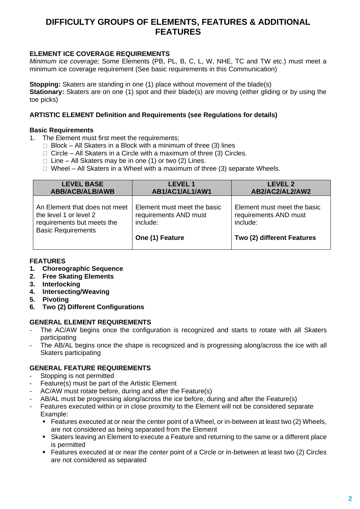# **DIFFICULTY GROUPS OF ELEMENTS, FEATURES & ADDITIONAL FEATURES**

# **ELEMENT ICE COVERAGE REQUIREMENTS**

*Minimum ice coverage;* Some Elements (PB, PL, B, C, L, W, NHE, TC and TW etc.) must meet a minimum ice coverage requirement (See basic requirements in this Communication)

**Stopping:** Skaters are standing in one (1) place without movement of the blade(s)

**Stationary:** Skaters are on one (1) spot and their blade(s) are moving (either gliding or by using the toe picks)

#### **ARTISTIC ELEMENT Definition and Requirements (see Regulations for details)**

#### **Basic Requirements**

- 1. The Element must first meet the requirements;
	- $\Box$  Block All Skaters in a Block with a minimum of three (3) lines
	- $\Box$  Circle All Skaters in a Circle with a maximum of three (3) Circles.
	- $\Box$  Line All Skaters may be in one (1) or two (2) Lines.
	- $\Box$  Wheel All Skaters in a Wheel with a maximum of three (3) separate Wheels.

| <b>LEVEL BASE</b>             | <b>LEVEL 1</b>              | <b>LEVEL 2</b>              |
|-------------------------------|-----------------------------|-----------------------------|
| <b>ABB/ACB/ALB/AWB</b>        | AB1/AC1/AL1/AW1             | AB2/AC2/AL2/AW2             |
| An Element that does not meet | Element must meet the basic | Element must meet the basic |
| the level 1 or level 2        | requirements AND must       | requirements AND must       |
| requirements but meets the    | include:                    | include:                    |
| <b>Basic Requirements</b>     | One (1) Feature             | Two (2) different Features  |

#### **FEATURES**

- **1. Choreographic Sequence**
- **2. Free Skating Elements**
- **3. Interlocking**
- **4. Intersecting/Weaving**
- **5. Pivoting**
- **6. Two (2) Different Configurations**

#### **GENERAL ELEMENT REQUIREMENTS**

- The AC/AW begins once the configuration is recognized and starts to rotate with all Skaters participating
- The AB/AL begins once the shape is recognized and is progressing along/across the ice with all Skaters participating

#### **GENERAL FEATURE REQUIREMENTS**

- Stopping is not permitted
- Feature(s) must be part of the Artistic Element
- AC/AW must rotate before, during and after the Feature(s)
- AB/AL must be progressing along/across the ice before, during and after the Feature(s)
- Features executed within or in close proximity to the Element will not be considered separate Example:
	- Features executed at or near the center point of a Wheel, or in-between at least two (2) Wheels, are not considered as being separated from the Element
	- Skaters leaving an Element to execute a Feature and returning to the same or a different place is permitted
	- Features executed at or near the center point of a Circle or in-between at least two (2) Circles are not considered as separated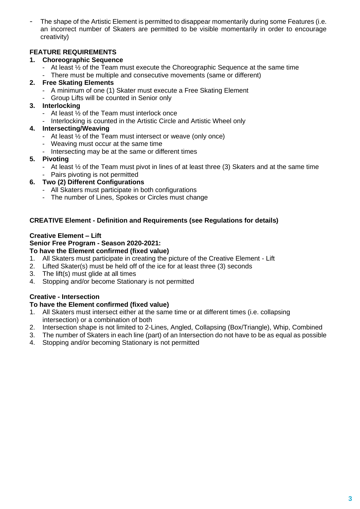The shape of the Artistic Element is permitted to disappear momentarily during some Features (i.e. an incorrect number of Skaters are permitted to be visible momentarily in order to encourage creativity)

# **FEATURE REQUIREMENTS**

## **1. Choreographic Sequence**

- At least ½ of the Team must execute the Choreographic Sequence at the same time There must be multiple and consecutive movements (same or different)

## **2. Free Skating Elements**

- A minimum of one (1) Skater must execute a Free Skating Element<br>- Group Lifts will be counted in Senior only
- Group Lifts will be counted in Senior only

# **3. Interlocking**

- At least ½ of the Team must interlock once
- Interlocking is counted in the Artistic Circle and Artistic Wheel only

# **4. Intersecting/Weaving**

- At least ½ of the Team must intersect or weave (only once)
- Weaving must occur at the same time
- Intersecting may be at the same or different times

#### **5. Pivoting**

- At least ½ of the Team must pivot in lines of at least three (3) Skaters and at the same time
- Pairs pivoting is not permitted
- **6. Two (2) Different Configurations**
	- All Skaters must participate in both configurations
	- The number of Lines, Spokes or Circles must change

# **CREATIVE Element - Definition and Requirements (see Regulations for details)**

# **Creative Element – Lift**

# **Senior Free Program - Season 2020-2021:**

#### **To have the Element confirmed (fixed value)**

- 1. All Skaters must participate in creating the picture of the Creative Element Lift
- 2. Lifted Skater(s) must be held off of the ice for at least three (3) seconds
- 3. The lift(s) must glide at all times
- 4. Stopping and/or become Stationary is not permitted

# **Creative - Intersection**

# **To have the Element confirmed (fixed value)**

- 1. All Skaters must intersect either at the same time or at different times (i.e. collapsing intersection) or a combination of both
- 2. Intersection shape is not limited to 2-Lines, Angled, Collapsing (Box/Triangle), Whip, Combined
- 3. The number of Skaters in each line (part) of an Intersection do not have to be as equal as possible
- 4. Stopping and/or becoming Stationary is not permitted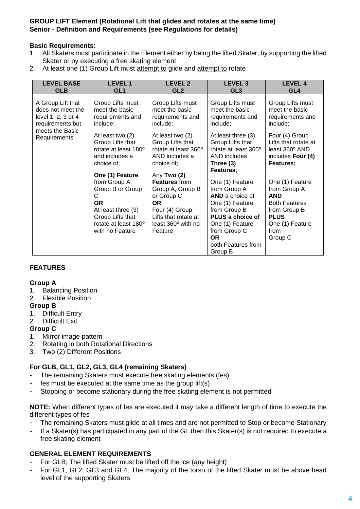## **GROUP LIFT Element (Rotational Lift that glides and rotates at the same time) Senior - Definition and Requirements (see Regulations for details)**

#### **Basic Requirements:**

- 1. All Skaters must participate in the Element either by being the lifted Skater, by supporting the lifted Skater or by executing a free skating element
- 2. At least one (1) Group Lift must attempt to glide and attempt to rotate

| <b>LEVEL BASE</b>               | <b>LEVEL1</b>                                                                                                                            | <b>LEVEL 2</b>                                                                                                                                 | <b>LEVEL 3</b>                                                                                                                                                                             | LEVEL 4                                                                                                                                    |
|---------------------------------|------------------------------------------------------------------------------------------------------------------------------------------|------------------------------------------------------------------------------------------------------------------------------------------------|--------------------------------------------------------------------------------------------------------------------------------------------------------------------------------------------|--------------------------------------------------------------------------------------------------------------------------------------------|
| <b>GLB</b>                      | GL <sub>1</sub>                                                                                                                          | GL <sub>2</sub>                                                                                                                                | GL <sub>3</sub>                                                                                                                                                                            | GL <sub>4</sub>                                                                                                                            |
| A Group Lift that               | Group Lifts must                                                                                                                         | Group Lifts must                                                                                                                               | Group Lifts must                                                                                                                                                                           | Group Lifts must                                                                                                                           |
| does not meet the               | meet the basic                                                                                                                           | meet the basic                                                                                                                                 | meet the basic                                                                                                                                                                             | meet the basic                                                                                                                             |
| level 1, 2, 3 or 4              | requirements and                                                                                                                         | requirements and                                                                                                                               | requirements and                                                                                                                                                                           | requirements and                                                                                                                           |
| requirements but                | include;                                                                                                                                 | include;                                                                                                                                       | include;                                                                                                                                                                                   | include;                                                                                                                                   |
| meets the Basic<br>Requirements | At least two (2)<br>Group Lifts that<br>rotate at least 180°<br>and includes a<br>choice of:<br>One (1) Feature                          | At least two (2)<br>Group Lifts that<br>rotate at least 360°<br>AND includes a<br>choice of:<br>Any Two (2)                                    | At least three (3)<br>Group Lifts that<br>rotate at least 360°<br>AND includes<br>Three (3)<br><b>Features;</b>                                                                            | Four (4) Group<br>Lifts that rotate at<br>least 360° AND<br>includes Four (4)<br>Features;                                                 |
|                                 | from Group A,<br>Group B or Group<br>C<br><b>OR</b><br>At least three (3)<br>Group Lifts that<br>rotate at least 180°<br>with no Feature | <b>Features from</b><br>Group A, Group B<br>or Group C<br><b>OR</b><br>Four (4) Group<br>Lifts that rotate at<br>least 360° with no<br>Feature | One (1) Feature<br>from Group A<br>AND a choice of<br>One (1) Feature<br>from Group B<br>PLUS a choice of<br>One (1) Feature<br>from Group C<br><b>OR</b><br>both Features from<br>Group B | One (1) Feature<br>from Group A<br><b>AND</b><br><b>Both Features</b><br>from Group B<br><b>PLUS</b><br>One (1) Feature<br>from<br>Group C |

#### **FEATURES**

#### **Group A**

- 1. Balancing Position
- 2. Flexible Position

#### **Group B**

- 1. Difficult Entry
- 2. Difficult Exit

#### **Group C**

- 1. Mirror image pattern
- 2. Rotating in both Rotational Directions
- 3. Two (2) Different Positions

# **For GLB, GL1, GL2, GL3, GL4 (remaining Skaters)**

- The remaining Skaters must execute free skating elements (fes)
- fes must be executed at the same time as the group lift(s)
- Stopping or become stationary during the free skating element is not permitted

**NOTE:** When different types of fes are executed it may take a different length of time to execute the different types of fes

- The remaining Skaters must glide at all times and are not permitted to Stop or become Stationary
- If a Skater(s) has participated in any part of the GL then this Skater(s) is not required to execute a free skating element

### **GENERAL ELEMENT REQUIREMENTS**

- For GLB; The lifted Skater must be lifted off the ice (any height)
- For GL1, GL2, GL3 and GL4; The majority of the torso of the lifted Skater must be above head level of the supporting Skaters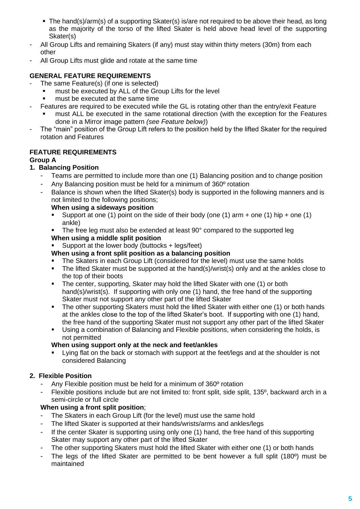- The hand(s)/arm(s) of a supporting Skater(s) is/are not required to be above their head, as long as the majority of the torso of the lifted Skater is held above head level of the supporting Skater(s)
- All Group Lifts and remaining Skaters (if any) must stay within thirty meters (30m) from each other
- All Group Lifts must glide and rotate at the same time

# **GENERAL FEATURE REQUIREMENTS**

- The same Feature(s) (if one is selected)
	- must be executed by ALL of the Group Lifts for the level
	- must be executed at the same time
- Features are required to be executed while the GL is rotating other than the entry/exit Feature
	- must ALL be executed in the same rotational direction (with the exception for the Features done in a Mirror image pattern *(see Feature below)*)
- The "main" position of the Group Lift refers to the position held by the lifted Skater for the required rotation and Features

# **FEATURE REQUIREMENTS**

#### **Group A**

# **1. Balancing Position**

- Teams are permitted to include more than one (1) Balancing position and to change position
- Any Balancing position must be held for a minimum of 360° rotation
- Balance is shown when the lifted Skater(s) body is supported in the following manners and is not limited to the following positions;

#### **When using a sideways position**

- **E** Support at one (1) point on the side of their body (one (1) arm  $+$  one (1) hip  $+$  one (1) ankle)
- The free leg must also be extended at least  $90^\circ$  compared to the supported leg **When using a middle split position**
- Support at the lower body (buttocks  $+$  legs/feet)

# **When using a front split position as a balancing position**

- The Skaters in each Group Lift (considered for the level) must use the same holds
- The lifted Skater must be supported at the hand(s)/wrist(s) only and at the ankles close to the top of their boots
- The center, supporting, Skater may hold the lifted Skater with one (1) or both hand(s)/wrist(s). If supporting with only one (1) hand, the free hand of the supporting Skater must not support any other part of the lifted Skater
- The other supporting Skaters must hold the lifted Skater with either one (1) or both hands at the ankles close to the top of the lifted Skater's boot. If supporting with one (1) hand, the free hand of the supporting Skater must not support any other part of the lifted Skater
- Using a combination of Balancing and Flexible positions, when considering the holds, is not permitted

#### **When using support only at the neck and feet/ankles**

Lying flat on the back or stomach with support at the feet/legs and at the shoulder is not considered Balancing

# **2. Flexible Position**

- Any Flexible position must be held for a minimum of 360° rotation
- Flexible positions include but are not limited to: front split, side split, 135<sup>o</sup>, backward arch in a semi-circle or full circle

# **When using a front split position**;

- The Skaters in each Group Lift (for the level) must use the same hold
- The lifted Skater is supported at their hands/wrists/arms and ankles/legs
- If the center Skater is supporting using only one (1) hand, the free hand of this supporting Skater may support any other part of the lifted Skater
- The other supporting Skaters must hold the lifted Skater with either one (1) or both hands
- The legs of the lifted Skater are permitted to be bent however a full split (180<sup>°</sup>) must be maintained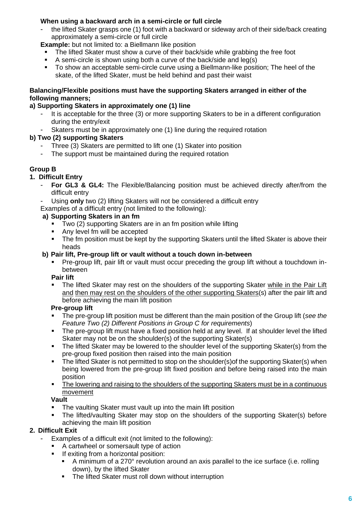# **When using a backward arch in a semi-circle or full circle**

the lifted Skater grasps one (1) foot with a backward or sideway arch of their side/back creating approximately a semi-circle or full circle

**Example:** but not limited to: a Biellmann like position

- The lifted Skater must show a curve of their back/side while grabbing the free foot
- A semi-circle is shown using both a curve of the back/side and leg(s)
- To show an acceptable semi-circle curve using a Biellmann-like position; The heel of the skate, of the lifted Skater, must be held behind and past their waist

## **Balancing/Flexible positions must have the supporting Skaters arranged in either of the following manners;**

# **a) Supporting Skaters in approximately one (1) line**

- It is acceptable for the three (3) or more supporting Skaters to be in a different configuration during the entry/exit
- Skaters must be in approximately one (1) line during the required rotation

# **b) Two (2) supporting Skaters**

- Three (3) Skaters are permitted to lift one (1) Skater into position
- The support must be maintained during the required rotation

# **Group B**

# **1. Difficult Entry**

- **For GL3 & GL4:** The Flexible/Balancing position must be achieved directly after/from the difficult entry
- Using only two (2) lifting Skaters will not be considered a difficult entry
- Examples of a difficult entry (not limited to the following):

# **a) Supporting Skaters in an fm**

- $Two (2)$  supporting Skaters are in an fm position while lifting
- Any level fm will be accepted
- **•** The fm position must be kept by the supporting Skaters until the lifted Skater is above their heads

#### **b) Pair lift, Pre-group lift or vault without a touch down in-between**

Pre-group lift, pair lift or vault must occur preceding the group lift without a touchdown inbetween

#### **Pair lift**

The lifted Skater may rest on the shoulders of the supporting Skater while in the Pair Lift and then may rest on the shoulders of the other supporting Skaters(s) after the pair lift and before achieving the main lift position

#### **Pre-group lift**

- The pre-group lift position must be different than the main position of the Group lift (*see the Feature Two (2) Different Positions in Group C for requirements*)
- The pre-group lift must have a fixed position held at any level. If at shoulder level the lifted Skater may not be on the shoulder(s) of the supporting Skater(s)
- The lifted Skater may be lowered to the shoulder level of the supporting Skater(s) from the pre-group fixed position then raised into the main position
- The lifted Skater is not permitted to stop on the shoulder(s) of the supporting Skater(s) when being lowered from the pre-group lift fixed position and before being raised into the main position
- The lowering and raising to the shoulders of the supporting Skaters must be in a continuous movement

#### **Vault**

- The vaulting Skater must vault up into the main lift position
- The lifted/vaulting Skater may stop on the shoulders of the supporting Skater(s) before achieving the main lift position

# **2. Difficult Exit**

- Examples of a difficult exit (not limited to the following):
	- A cartwheel or somersault type of action
	- **•** If exiting from a horizontal position:
		- A minimum of a 270° revolution around an axis parallel to the ice surface (i.e. rolling down), by the lifted Skater
		- The lifted Skater must roll down without interruption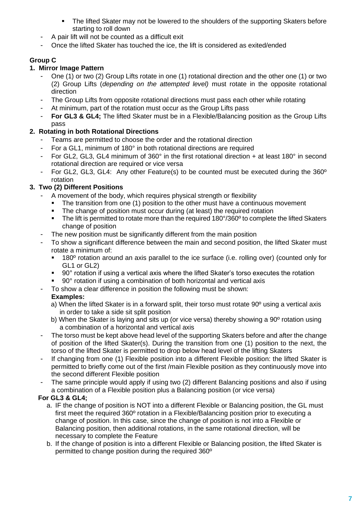- The lifted Skater may not be lowered to the shoulders of the supporting Skaters before starting to roll down
- A pair lift will not be counted as a difficult exit
- Once the lifted Skater has touched the ice, the lift is considered as exited/ended

# **Group C**

# **1. Mirror Image Pattern**

- One (1) or two (2) Group Lifts rotate in one (1) rotational direction and the other one (1) or two (2) Group Lifts (*depending on the attempted level)* must rotate in the opposite rotational direction
- The Group Lifts from opposite rotational directions must pass each other while rotating
- At minimum, part of the rotation must occur as the Group Lifts pass
- **For GL3 & GL4;** The lifted Skater must be in a Flexible/Balancing position as the Group Lifts pass

# **2. Rotating in both Rotational Directions**

- Teams are permitted to choose the order and the rotational direction
- For a GL1, minimum of 180° in both rotational directions are required
- For GL2, GL3, GL4 minimum of 360° in the first rotational direction + at least 180° in second rotational direction are required or vice versa
- For GL2, GL3, GL4: Any other Feature(s) to be counted must be executed during the 360º rotation

# **3. Two (2) Different Positions**

- A movement of the body, which requires physical strength or flexibility
	- The transition from one (1) position to the other must have a continuous movement
	- **•** The change of position must occur during (at least) the required rotation
	- The lift is permitted to rotate more than the required 180°/360° to complete the lifted Skaters change of position
- The new position must be significantly different from the main position
- To show a significant difference between the main and second position, the lifted Skater must rotate a minimum of:
	- 180 $\degree$  rotation around an axis parallel to the ice surface (i.e. rolling over) (counted only for GL1 or GL2)
	- 90° rotation if using a vertical axis where the lifted Skater's torso executes the rotation
	- 90° rotation if using a combination of both horizontal and vertical axis
- To show a clear difference in position the following must be shown:

# **Examples:**

- a) When the lifted Skater is in a forward split, their torso must rotate 90º using a vertical axis in order to take a side sit split position
- b) When the Skater is laying and sits up (or vice versa) thereby showing a 90º rotation using a combination of a horizontal and vertical axis
- The torso must be kept above head level of the supporting Skaters before and after the change of position of the lifted Skater(s). During the transition from one (1) position to the next, the torso of the lifted Skater is permitted to drop below head level of the lifting Skaters
- If changing from one (1) Flexible position into a different Flexible position: the lifted Skater is permitted to briefly come out of the first /main Flexible position as they continuously move into the second different Flexible position
- The same principle would apply if using two (2) different Balancing positions and also if using a combination of a Flexible position plus a Balancing position (or vice versa)

# **For GL3 & GL4;**

- a. IF the change of position is NOT into a different Flexible or Balancing position, the GL must first meet the required 360º rotation in a Flexible/Balancing position prior to executing a change of position. In this case, since the change of position is not into a Flexible or Balancing position, then additional rotations, in the same rotational direction, will be necessary to complete the Feature
- b. If the change of position is into a different Flexible or Balancing position, the lifted Skater is permitted to change position during the required 360º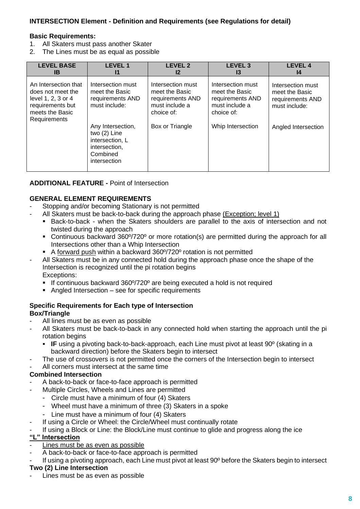## **INTERSECTION Element - Definition and Requirements (see Regulations for detail)**

#### **Basic Requirements:**

- 1. All Skaters must pass another Skater
- 2. The Lines must be as equal as possible

| <b>LEVEL BASE</b>                                                                                                      | <b>LEVEL 1</b>                                                                                                                                                                  | <b>LEVEL 2</b>                                                                                             | <b>LEVEL 3</b>                                                                                               | <b>LEVEL 4</b>                                                                                  |
|------------------------------------------------------------------------------------------------------------------------|---------------------------------------------------------------------------------------------------------------------------------------------------------------------------------|------------------------------------------------------------------------------------------------------------|--------------------------------------------------------------------------------------------------------------|-------------------------------------------------------------------------------------------------|
| IB                                                                                                                     | 11                                                                                                                                                                              | $12 \,$                                                                                                    | 13                                                                                                           | 14                                                                                              |
| An Intersection that<br>does not meet the<br>level 1, 2, 3 or 4<br>requirements but<br>meets the Basic<br>Requirements | Intersection must<br>meet the Basic<br>requirements AND<br>must include:<br>Any Intersection,<br>two $(2)$ Line<br>intersection, L<br>intersection,<br>Combined<br>intersection | Intersection must<br>meet the Basic<br>requirements AND<br>must include a<br>choice of:<br>Box or Triangle | Intersection must<br>meet the Basic<br>requirements AND<br>must include a<br>choice of:<br>Whip Intersection | Intersection must<br>meet the Basic<br>requirements AND<br>must include:<br>Angled Intersection |

#### **ADDITIONAL FEATURE -** Point of Intersection

#### **GENERAL ELEMENT REQUIREMENTS**

- Stopping and/or becoming Stationary is not permitted
- All Skaters must be back-to-back during the approach phase (Exception; level 1)
	- Back-to-back when the Skaters shoulders are parallel to the axis of intersection and not twisted during the approach
	- Continuous backward 360°/720° or more rotation(s) are permitted during the approach for all Intersections other than a Whip Intersection
	- A forward push within a backward 360°/720° rotation is not permitted
- All Skaters must be in any connected hold during the approach phase once the shape of the Intersection is recognized until the pi rotation begins Exceptions:
	- **EXEC** If continuous backward 360°/720° are being executed a hold is not required
	- Angled Intersection see for specific requirements

#### **Specific Requirements for Each type of Intersection Box/Triangle**

- All lines must be as even as possible
- All Skaters must be back-to-back in any connected hold when starting the approach until the pi rotation begins
	- **IF** using a pivoting back-to-back-approach, each Line must pivot at least 90<sup>°</sup> (skating in a backward direction) before the Skaters begin to intersect
- The use of crossovers is not permitted once the corners of the Intersection begin to intersect
- All corners must intersect at the same time

#### **Combined Intersection**

- A back-to-back or face-to-face approach is permitted
	- Multiple Circles, Wheels and Lines are permitted
	- Circle must have a minimum of four (4) Skaters
	- Wheel must have a minimum of three (3) Skaters in a spoke
	- Line must have a minimum of four (4) Skaters
	- If using a Circle or Wheel: the Circle/Wheel must continually rotate
- If using a Block or Line: the Block/Line must continue to glide and progress along the ice

## **"L" Intersection**

- Lines must be as even as possible
- A back-to-back or face-to-face approach is permitted
- If using a pivoting approach, each Line must pivot at least 90° before the Skaters begin to intersect

#### **Two (2) Line Intersection**

Lines must be as even as possible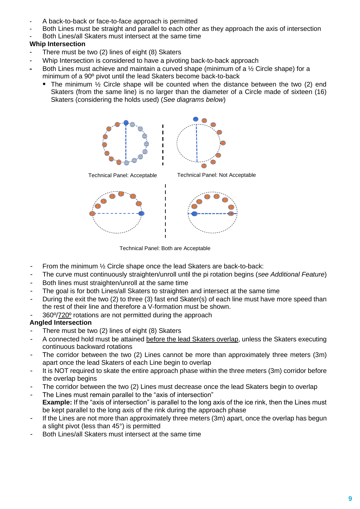- A back-to-back or face-to-face approach is permitted
- Both Lines must be straight and parallel to each other as they approach the axis of intersection
- Both Lines/all Skaters must intersect at the same time

# **Whip Intersection**

- There must be two (2) lines of eight (8) Skaters
- Whip Intersection is considered to have a pivoting back-to-back approach
- Both Lines must achieve and maintain a curved shape (minimum of a  $\frac{1}{2}$  Circle shape) for a minimum of a 90º pivot until the lead Skaters become back-to-back
	- The minimum  $\frac{1}{2}$  Circle shape will be counted when the distance between the two (2) end Skaters (from the same line) is no larger than the diameter of a Circle made of sixteen (16) Skaters (considering the holds used) (*See diagrams below*)



Technical Panel: Both are Acceptable

- From the minimum 1/2 Circle shape once the lead Skaters are back-to-back:
- The curve must continuously straighten/unroll until the pi rotation begins (*see Additional Feature*)
- Both lines must straighten/unroll at the same time
- The goal is for both Lines/all Skaters to straighten and intersect at the same time
- During the exit the two (2) to three (3) fast end Skater(s) of each line must have more speed than the rest of their line and therefore a V-formation must be shown.
- 360°/720° rotations are not permitted during the approach

# **Angled Intersection**

- There must be two  $(2)$  lines of eight  $(8)$  Skaters
- A connected hold must be attained before the lead Skaters overlap, unless the Skaters executing continuous backward rotations
- The corridor between the two (2) Lines cannot be more than approximately three meters (3m) apart once the lead Skaters of each Line begin to overlap
- It is NOT required to skate the entire approach phase within the three meters (3m) corridor before the overlap begins
- The corridor between the two (2) Lines must decrease once the lead Skaters begin to overlap
- The Lines must remain parallel to the "axis of intersection" **Example:** If the "axis of intersection" is parallel to the long axis of the ice rink, then the Lines must be kept parallel to the long axis of the rink during the approach phase
- If the Lines are not more than approximately three meters (3m) apart, once the overlap has begun a slight pivot (less than 45°) is permitted
- Both Lines/all Skaters must intersect at the same time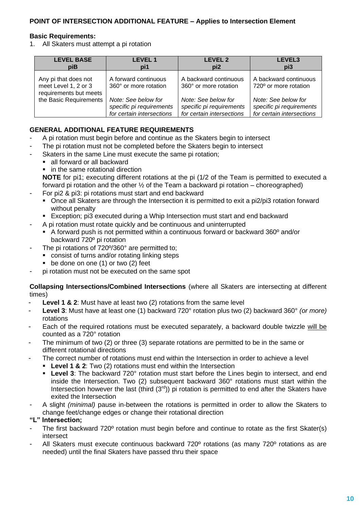## **Basic Requirements:**

1. All Skaters must attempt a pi rotation

| <b>LEVEL BASE</b>                                                      | <b>LEVEL 1</b>                                | <b>LEVEL 2</b>                                 | LEVEL3                                         |
|------------------------------------------------------------------------|-----------------------------------------------|------------------------------------------------|------------------------------------------------|
| piB                                                                    | pi1                                           | pi <sub>2</sub>                                | pi3                                            |
| Any pi that does not<br>meet Level 1, 2 or 3<br>requirements but meets | A forward continuous<br>360° or more rotation | A backward continuous<br>360° or more rotation | A backward continuous<br>720° or more rotation |
| the Basic Requirements                                                 | Note: See below for                           | Note: See below for                            | Note: See below for                            |
|                                                                        | specific pi requirements                      | specific pi requirements                       | specific pi requirements                       |
|                                                                        | for certain intersections                     | for certain intersections                      | for certain intersections                      |

# **GENERAL ADDITIONAL FEATURE REQUIREMENTS**

- A pi rotation must begin before and continue as the Skaters begin to intersect
- The pi rotation must not be completed before the Skaters begin to intersect
- Skaters in the same Line must execute the same pi rotation;
	- all forward or all backward
	- in the same rotational direction

**NOTE** for pi1; executing different rotations at the pi (1/2 of the Team is permitted to executed a forward pi rotation and the other  $\frac{1}{2}$  of the Team a backward pi rotation – choreographed)

- For pi2 & pi3: pi rotations must start and end backward
	- Once all Skaters are through the Intersection it is permitted to exit a pi2/pi3 rotation forward without penalty
	- Exception; pi3 executed during a Whip Intersection must start and end backward
- A pi rotation must rotate quickly and be continuous and uninterrupted
	- A forward push is not permitted within a continuous forward or backward 360<sup>o</sup> and/or backward 720º pi rotation
- The pi rotations of 720%360° are permitted to;
	- consist of turns and/or rotating linking steps
	- $\bullet$  be done on one (1) or two (2) feet
- pi rotation must not be executed on the same spot

**Collapsing Intersections/Combined Intersections** (where all Skaters are intersecting at different times)

- **Level 1 & 2**: Must have at least two (2) rotations from the same level
- **Level 3**: Must have at least one (1) backward 720° rotation plus two (2) backward 360° *(or more)* rotations
- Each of the required rotations must be executed separately, a backward double twizzle will be counted as a 720° rotation
- The minimum of two (2) or three (3) separate rotations are permitted to be in the same or different rotational directions
- The correct number of rotations must end within the Intersection in order to achieve a level
	- **Level 1 & 2:** Two (2) rotations must end within the Intersection
		- **Level 3**: The backward 720° rotation must start before the Lines begin to intersect, and end inside the Intersection. Two (2) subsequent backward 360° rotations must start within the Intersection however the last (third  $(3<sup>rd</sup>)$ ) pi rotation is permitted to end after the Skaters have exited the Intersection
- A slight *(minimal)* pause in-between the rotations is permitted in order to allow the Skaters to change feet/change edges or change their rotational direction

#### **"L" Intersection;**

- The first backward 720° rotation must begin before and continue to rotate as the first Skater(s) intersect
- All Skaters must execute continuous backward 720° rotations (as many 720° rotations as are needed) until the final Skaters have passed thru their space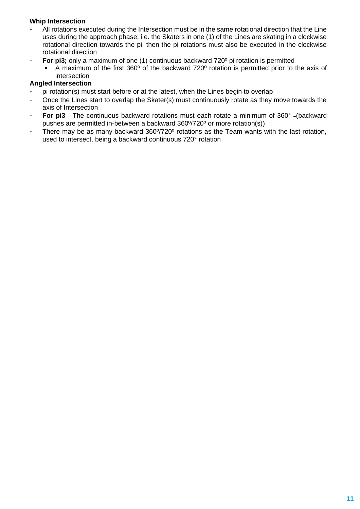#### **Whip Intersection**

- All rotations executed during the Intersection must be in the same rotational direction that the Line uses during the approach phase; i.e. the Skaters in one (1) of the Lines are skating in a clockwise rotational direction towards the pi, then the pi rotations must also be executed in the clockwise rotational direction
	- **For pi3;** only a maximum of one (1) continuous backward 720<sup>°</sup> pi rotation is permitted
		- A maximum of the first 360° of the backward 720° rotation is permitted prior to the axis of intersection

#### **Angled Intersection**

- pi rotation(s) must start before or at the latest, when the Lines begin to overlap
- Once the Lines start to overlap the Skater(s) must continuously rotate as they move towards the axis of Intersection
- **For pi3** The continuous backward rotations must each rotate a minimum of 360° (backward pushes are permitted in-between a backward 360º/720º or more rotation(s))
- There may be as many backward 360°/720° rotations as the Team wants with the last rotation, used to intersect, being a backward continuous 720° rotation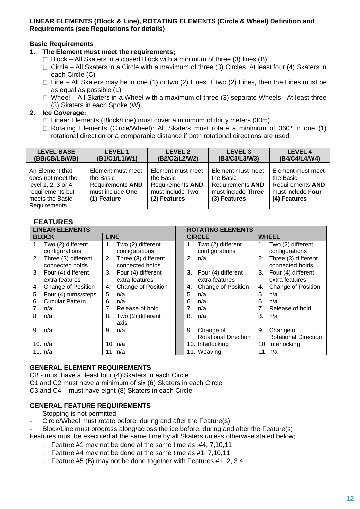#### **LINEAR ELEMENTS (Block & Line), ROTATING ELEMENTS (Circle & Wheel) Definition and Requirements (see Regulations for details)**

# **Basic Requirements**

- **1. The Element must meet the requirements;**
	- $\Box$  Block All Skaters in a closed Block with a minimum of three (3) lines (B)
	- $\Box$  Circle All Skaters in a Circle with a maximum of three (3) Circles. At least four (4) Skaters in each Circle (C)
	- $\Box$  Line All Skaters may be in one (1) or two (2) Lines. If two (2) Lines, then the Lines must be as equal as possible (L)
	- $\Box$  Wheel All Skaters in a Wheel with a maximum of three (3) separate Wheels. At least three (3) Skaters in each Spoke (W)

## **2. Ice Coverage:**

- $\Box$  Linear Elements (Block/Line) must cover a minimum of thirty meters (30m)
- $\Box$  Rotating Elements (Circle/Wheel): All Skaters must rotate a minimum of 360 $\degree$  in one (1) rotational direction or a comparable distance if both rotational directions are used

| <b>LEVEL BASE</b>                                                                                                 | <b>LEVEL 1</b>                                                                               | LEVEL 2                                                                                       | <b>LEVEL 3</b>                                                                                  | <b>LEVEL 4</b>                                                                                 |
|-------------------------------------------------------------------------------------------------------------------|----------------------------------------------------------------------------------------------|-----------------------------------------------------------------------------------------------|-------------------------------------------------------------------------------------------------|------------------------------------------------------------------------------------------------|
| (BB/CB/LB/WB)                                                                                                     | (B1/C1/L1/W1)                                                                                | (B2/C2/L2/W2)                                                                                 | (B3/C3/L3/W3)                                                                                   | (B4/C4/L4/W4)                                                                                  |
| An Element that<br>does not meet the<br>level 1, 2, 3 or 4<br>requirements but<br>meets the Basic<br>Requirements | Element must meet<br>the Basic<br><b>Requirements AND</b><br>must include One<br>(1) Feature | Element must meet<br>the Basic<br><b>Requirements AND</b><br>must include Two<br>(2) Features | Element must meet<br>the Basic<br><b>Requirements AND</b><br>must include Three<br>(3) Features | Element must meet<br>the Basic<br><b>Requirements AND</b><br>must include Four<br>(4) Features |

# **FEATURES**

|    | <b>LINEAR ELEMENTS</b>                    |                                |                                           | <b>ROTATING ELEMENTS</b> |                                          |    |                                          |
|----|-------------------------------------------|--------------------------------|-------------------------------------------|--------------------------|------------------------------------------|----|------------------------------------------|
|    | <b>BLOCK</b>                              | <b>LINE</b>                    |                                           |                          | <b>CIRCLE</b>                            |    | <b>WHEEL</b>                             |
| 1. | Two (2) different<br>configurations       |                                | 1. Two (2) different<br>configurations    |                          | 1. Two (2) different<br>configurations   |    | Two (2) different<br>configurations      |
|    | 2. Three (3) different<br>connected holds |                                | 2. Three (3) different<br>connected holds | 2.                       | n/a                                      | 2. | Three (3) different<br>connected holds   |
|    | 3. Four (4) different<br>extra features   |                                | 3. Four (4) different<br>extra features   | 3.                       | Four (4) different<br>extra features     | 3. | Four (4) different<br>extra features     |
| 4. | <b>Change of Position</b>                 | 4.                             | <b>Change of Position</b>                 | 4.                       | Change of Position                       | 4. | <b>Change of Position</b>                |
| 5. | Four (4) turns/steps                      | 5.                             | n/a                                       | 5.                       | n/a                                      | 5. | n/a                                      |
| 6. | <b>Circular Pattern</b>                   | 6.                             | n/a                                       | 6.                       | n/a                                      | 6. | n/a                                      |
| 7. | n/a                                       | $7_{\scriptscriptstyle{\sim}}$ | Release of hold                           | 7.                       | n/a                                      | 7. | Release of hold                          |
| 8. | n/a                                       | 8.                             | Two (2) different<br>axis                 | 8.                       | n/a                                      | 8. | n/a                                      |
|    | 9. n/a                                    |                                | 9. n/a                                    | 9.                       | Change of<br><b>Rotational Direction</b> | 9. | Change of<br><b>Rotational Direction</b> |
|    | 10. n/a                                   |                                | 10. $n/a$                                 |                          | 10. Interlocking                         |    | 10. Interlocking                         |
|    | 11. n/a                                   |                                | 11. n/a                                   |                          | 11. Weaving                              |    | 11. n/a                                  |

#### **GENERAL ELEMENT REQUIREMENTS**

CB - must have at least four (4) Skaters in each Circle

C1 and C2 must have a minimum of six (6) Skaters in each Circle

C3 and C4 – must have eight (8) Skaters in each Circle

#### **GENERAL FEATURE REQUIREMENTS**

- Stopping is not permitted
- Circle/Wheel must rotate before, during and after the Feature(s)
- Block/Line must progress along/across the ice before, during and after the Feature(s)
- Features must be executed at the same time by all Skaters unless otherwise stated below;
	- Feature #1 may not be done at the same time as #4, 7,10,11
	- Feature #4 may not be done at the same time as #1, 7,10,11
	- Feature #5 (B) may not be done together with Features #1, 2, 3 4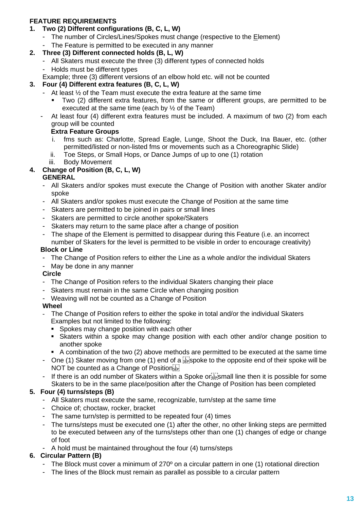# **FEATURE REQUIREMENTS**

- **1. Two (2) Different configurations (B, C, L, W)**
	- The number of Circles/Lines/Spokes must change (respective to the Element)
	- The Feature is permitted to be executed in any manner

# **2. Three (3) Different connected holds (B, L, W)**

- All Skaters must execute the three (3) different types of connected holds
- Holds must be different types
- Example; three (3) different versions of an elbow hold etc. will not be counted

# **3. Four (4) Different extra features (B, C, L, W)**

- At least  $\frac{1}{2}$  of the Team must execute the extra feature at the same time
	- Two (2) different extra features, from the same or different groups, are permitted to be executed at the same time (each by ½ of the Team)
- At least four (4) different extra features must be included. A maximum of two (2) from each group will be counted

#### **Extra Feature Groups**

- i. fms such as: Charlotte, Spread Eagle, Lunge, Shoot the Duck, Ina Bauer, etc. (other permitted/listed or non-listed fms or movements such as a Choreographic Slide)
- ii. Toe Steps, or Small Hops, or Dance Jumps of up to one (1) rotation
- iii. Body Movement

# **4. Change of Position (B, C, L, W)**

#### **GENERAL**

- All Skaters and/or spokes must execute the Change of Position with another Skater and/or spoke
- All Skaters and/or spokes must execute the Change of Position at the same time
- Skaters are permitted to be joined in pairs or small lines
- Skaters are permitted to circle another spoke/Skaters
- Skaters may return to the same place after a change of position
- The shape of the Element is permitted to disappear during this Feature (i.e. an incorrect number of Skaters for the level is permitted to be visible in order to encourage creativity)

#### **Block or Line**

- The Change of Position refers to either the Line as a whole and/or the individual Skaters
- May be done in any manner

#### **Circle**

- The Change of Position refers to the individual Skaters changing their place
- Skaters must remain in the same Circle when changing position
- Weaving will not be counted as a Change of Position

#### **Wheel**

- The Change of Position refers to either the spoke in total and/or the individual Skaters Examples but not limited to the following:
	- Spokes may change position with each other
	- **EXAM** Skaters within a spoke may change position with each other and/or change position to another spoke
	- A combination of the two (2) above methods are permitted to be executed at the same time
- One (1) Skater moving from one (1) end of a  $\frac{1}{125}$ spoke to the opposite end of their spoke will be NOT be counted as a Change of Position step
- If there is an odd number of Skaters within a Spoke or  $\sum_{s \in \mathcal{S}}$  mall line then it is possible for some Skaters to be in the same place/position after the Change of Position has been completed

#### **5. Four (4) turns/steps (B)**

- All Skaters must execute the same, recognizable, turn/step at the same time
- Choice of; choctaw, rocker, bracket
- The same turn/step is permitted to be repeated four (4) times
- The turns/steps must be executed one (1) after the other, no other linking steps are permitted to be executed between any of the turns/steps other than one (1) changes of edge or change of foot
- A hold must be maintained throughout the four (4) turns/steps

# **6. Circular Pattern (B)**

- The Block must cover a minimum of 270<sup>o</sup> on a circular pattern in one (1) rotational direction
- The lines of the Block must remain as parallel as possible to a circular pattern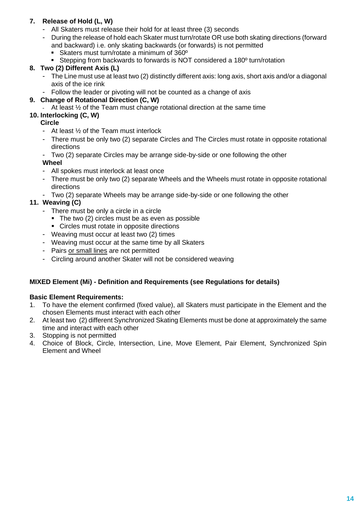# **7. Release of Hold (L, W)**

- All Skaters must release their hold for at least three (3) seconds
	- During the release of hold each Skater must turn/rotate OR use both skating directions (forward and backward) i.e. only skating backwards (or forwards) is not permitted
		- Skaters must turn/rotate a minimum of 360<sup>°</sup>
	- Stepping from backwards to forwards is NOT considered a 180<sup>°</sup> turn/rotation

# **8. Two (2) Different Axis (L)**

- The Line must use at least two (2) distinctly different axis: long axis, short axis and/or a diagonal axis of the ice rink
- Follow the leader or pivoting will not be counted as a change of axis

#### **9. Change of Rotational Direction (C, W)**

At least  $\frac{1}{2}$  of the Team must change rotational direction at the same time

## **10. Interlocking (C, W)**

#### **Circle**

- At least ½ of the Team must interlock
- There must be only two (2) separate Circles and The Circles must rotate in opposite rotational directions
- Two (2) separate Circles may be arrange side-by-side or one following the other

#### **Wheel**

- All spokes must interlock at least once
- There must be only two (2) separate Wheels and the Wheels must rotate in opposite rotational directions
- Two (2) separate Wheels may be arrange side-by-side or one following the other

# **11. Weaving (C)**

- There must be only a circle in a circle
	- The two (2) circles must be as even as possible
	- Circles must rotate in opposite directions
- Weaving must occur at least two (2) times
- Weaving must occur at the same time by all Skaters
- Pairs or small lines are not permitted
- Circling around another Skater will not be considered weaving

#### **MIXED Element (Mi) - Definition and Requirements (see Regulations for details)**

#### **Basic Element Requirements:**

- 1. To have the element confirmed (fixed value), all Skaters must participate in the Element and the chosen Elements must interact with each other
- 2. At least two (2) different Synchronized Skating Elements must be done at approximately the same time and interact with each other
- 3. Stopping is not permitted
- 4. Choice of Block, Circle, Intersection, Line, Move Element, Pair Element, Synchronized Spin Element and Wheel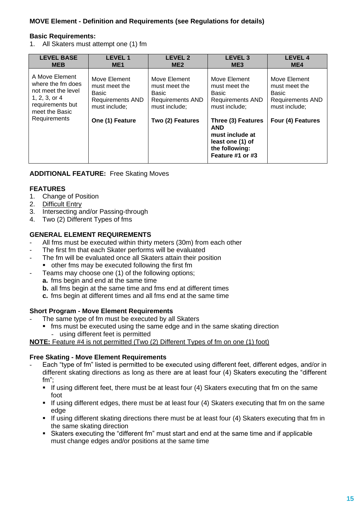# **MOVE Element - Definition and Requirements (see Regulations for details)**

#### **Basic Requirements:**

1. All Skaters must attempt one (1) fm

| <b>LEVEL BASE</b>                                                                                                                    | <b>LEVEL1</b>                                                                                         | <b>LEVEL 2</b>                                                                                         | LEVEL <sub>3</sub>                                                                                                                                                                                         | <b>LEVEL 4</b>                                                                                          |
|--------------------------------------------------------------------------------------------------------------------------------------|-------------------------------------------------------------------------------------------------------|--------------------------------------------------------------------------------------------------------|------------------------------------------------------------------------------------------------------------------------------------------------------------------------------------------------------------|---------------------------------------------------------------------------------------------------------|
| <b>MEB</b>                                                                                                                           | ME <sub>1</sub>                                                                                       | ME <sub>2</sub>                                                                                        | ME <sub>3</sub>                                                                                                                                                                                            | ME4                                                                                                     |
| A Move Element<br>where the fm does<br>not meet the level<br>$1, 2, 3,$ or $4$<br>requirements but<br>meet the Basic<br>Requirements | Move Element<br>must meet the<br>Basic<br><b>Requirements AND</b><br>must include:<br>One (1) Feature | Move Element<br>must meet the<br>Basic<br><b>Requirements AND</b><br>must include:<br>Two (2) Features | Move Element<br>must meet the<br><b>Basic</b><br><b>Requirements AND</b><br>must include:<br>Three (3) Features<br><b>AND</b><br>must include at<br>least one (1) of<br>the following:<br>Feature #1 or #3 | Move Element<br>must meet the<br>Basic<br><b>Requirements AND</b><br>must include:<br>Four (4) Features |

#### **ADDITIONAL FEATURE:** Free Skating Moves

#### **FEATURES**

- 1. Change of Position
- 2. Difficult Entry
- 3. Intersecting and/or Passing-through
- 4. Two (2) Different Types of fms

#### **GENERAL ELEMENT REQUIREMENTS**

- All fms must be executed within thirty meters (30m) from each other
- The first fm that each Skater performs will be evaluated
- The fm will be evaluated once all Skaters attain their position ■ other fms may be executed following the first fm
- Teams may choose one (1) of the following options;
- **a.** fms begin and end at the same time
	- **b.** all fms begin at the same time and fms end at different times
	- **c.** fms begin at different times and all fms end at the same time

#### **Short Program - Move Element Requirements**

- The same type of fm must be executed by all Skaters
	- **•** fms must be executed using the same edge and in the same skating direction
		- using different feet is permitted

**NOTE:** Feature #4 is not permitted (Two (2) Different Types of fm on one (1) foot)

#### **Free Skating - Move Element Requirements**

- Each "type of fm" listed is permitted to be executed using different feet, different edges, and/or in different skating directions as long as there are at least four (4) Skaters executing the "different fm";
	- If using different feet, there must be at least four (4) Skaters executing that fm on the same foot
	- **.** If using different edges, there must be at least four (4) Skaters executing that fm on the same edge
	- **.** If using different skating directions there must be at least four (4) Skaters executing that fm in the same skating direction
	- Skaters executing the "different fm" must start and end at the same time and if applicable must change edges and/or positions at the same time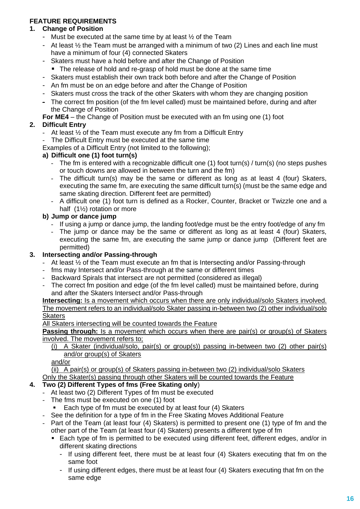# **FEATURE REQUIREMENTS**

## **1. Change of Position**

- Must be executed at the same time by at least  $\frac{1}{2}$  of the Team
- At least  $\frac{1}{2}$  the Team must be arranged with a minimum of two (2) Lines and each line must have a minimum of four (4) connected Skaters
- Skaters must have a hold before and after the Change of Position
- The release of hold and re-grasp of hold must be done at the same time
- Skaters must establish their own track both before and after the Change of Position
- An fm must be on an edge before and after the Change of Position
- Skaters must cross the track of the other Skaters with whom they are changing position
- The correct fm position (of the fm level called) must be maintained before, during and after the Change of Position
- **For ME4** the Change of Position must be executed with an fm using one (1) foot

# **2. Difficult Entry**

- At least  $\frac{1}{2}$  of the Team must execute any fm from a Difficult Entry
- The Difficult Entry must be executed at the same time
- Examples of a Difficult Entry (not limited to the following);

#### **a) Difficult one (1) foot turn(s)**

- The fm is entered with a recognizable difficult one (1) foot turn(s) / turn(s) (no steps pushes or touch downs are allowed in between the turn and the fm)
- The difficult turn(s) may be the same or different as long as at least 4 (four) Skaters, executing the same fm, are executing the same difficult turn(s) (must be the same edge and same skating direction. Different feet are permitted)
- A difficult one (1) foot turn is defined as a Rocker, Counter, Bracket or Twizzle one and a half (1½) rotation or more

# **b) Jump or dance jump**

- If using a jump or dance jump, the landing foot/edge must be the entry foot/edge of any fm
- The jump or dance may be the same or different as long as at least 4 (four) Skaters, executing the same fm, are executing the same jump or dance jump (Different feet are permitted)

#### **3. Intersecting and/or Passing-through**

- At least  $\frac{1}{2}$  of the Team must execute an fm that is Intersecting and/or Passing-through
- fms may Intersect and/or Pass-through at the same or different times
- Backward Spirals that intersect are not permitted (considered as illegal)
- The correct fm position and edge (of the fm level called) must be maintained before, during and after the Skaters Intersect and/or Pass-through

#### **Intersecting:** Is a movement which occurs when there are only individual/solo Skaters involved. The movement refers to an individual/solo Skater passing in-between two (2) other individual/solo **Skaters**

All Skaters intersecting will be counted towards the Feature

**Passing through:** Is a movement which occurs when there are pair(s) or group(s) of Skaters involved. The movement refers to;

#### (i) A Skater (individual/solo, pair(s) or group(s)) passing in-between two (2) other pair(s) and/or group(s) of Skaters

and/or

(ii) A pair(s) or group(s) of Skaters passing in-between two (2) individual/solo Skaters Only the Skater(s) passing through other Skaters will be counted towards the Feature

#### **4. Two (2) Different Types of fms (Free Skating only**)

- At least two (2) Different Types of fm must be executed
- The fms must be executed on one (1) foot
	- Each type of fm must be executed by at least four (4) Skaters
- See the definition for a type of fm in the Free Skating Moves Additional Feature
- Part of the Team (at least four (4) Skaters) is permitted to present one (1) type of fm and the other part of the Team (at least four (4) Skaters) presents a different type of fm
	- Each type of fm is permitted to be executed using different feet, different edges, and/or in different skating directions
		- If using different feet, there must be at least four (4) Skaters executing that fm on the same foot
		- If using different edges, there must be at least four (4) Skaters executing that fm on the same edge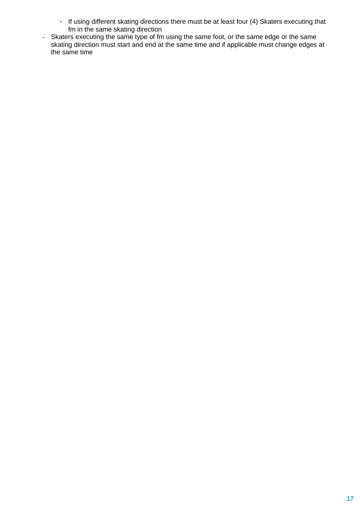- If using different skating directions there must be at least four (4) Skaters executing that fm in the same skating direction
- Skaters executing the same type of fm using the same foot, or the same edge or the same skating direction must start and end at the same time and if applicable must change edges at the same time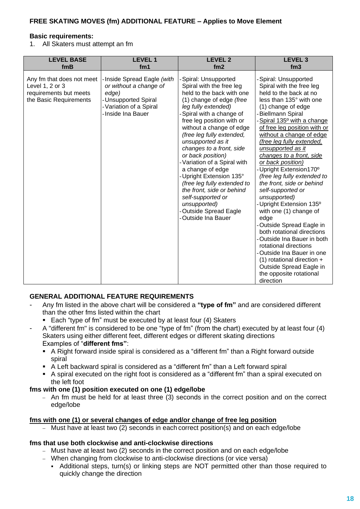### **FREE SKATING MOVES (fm) ADDITIONAL FEATURE – Applies to Move Element**

#### **Basic requirements:**

1. All Skaters must attempt an fm

| <b>LEVEL BASE</b>                                                                                | <b>LEVEL1</b>                                                                                                                         | <b>LEVEL 2</b>                                                                                                                                                                                                                                                                                                                                                                                                                                                                                                                                       | <b>LEVEL 3</b>                                                                                                                                                                                                                                                                                                                                                                                                                                                                                                                                                                                                                                                                                                                                                                                                  |
|--------------------------------------------------------------------------------------------------|---------------------------------------------------------------------------------------------------------------------------------------|------------------------------------------------------------------------------------------------------------------------------------------------------------------------------------------------------------------------------------------------------------------------------------------------------------------------------------------------------------------------------------------------------------------------------------------------------------------------------------------------------------------------------------------------------|-----------------------------------------------------------------------------------------------------------------------------------------------------------------------------------------------------------------------------------------------------------------------------------------------------------------------------------------------------------------------------------------------------------------------------------------------------------------------------------------------------------------------------------------------------------------------------------------------------------------------------------------------------------------------------------------------------------------------------------------------------------------------------------------------------------------|
| fmB                                                                                              | fm1                                                                                                                                   | fm <sub>2</sub>                                                                                                                                                                                                                                                                                                                                                                                                                                                                                                                                      | fm3                                                                                                                                                                                                                                                                                                                                                                                                                                                                                                                                                                                                                                                                                                                                                                                                             |
| Any fm that does not meet<br>Level 1, 2 or 3<br>requirements but meets<br>the Basic Requirements | - Inside Spread Eagle (with<br>or without a change of<br>edge)<br>-Unsupported Spiral<br>-Variation of a Spiral<br>- Inside Ina Bauer | -Spiral: Unsupported<br>Spiral with the free leg<br>held to the back with one<br>(1) change of edge (free<br>leg fully extended)<br>Spiral with a change of<br>free leg position with or<br>without a change of edge<br>(free leg fully extended,<br>unsupported as it<br>changes to a front, side<br>or back position)<br>-Variation of a Spiral with<br>a change of edge<br>Upright Extension 135°<br>(free leg fully extended to<br>the front, side or behind<br>self-supported or<br>unsupported)<br>-Outside Spread Eagle<br>-Outside Ina Bauer | -Spiral: Unsupported<br>Spiral with the free leg<br>held to the back at no<br>less than 135° with one<br>(1) change of edge<br><b>Biellmann Spiral</b><br>Spiral 135 <sup>°</sup> with a change<br>of free leg position with or<br>without a change of edge<br>(free leg fully extended,<br>unsupported as it<br>changes to a front, side<br>or back position)<br>-Upright Extension170°<br>(free leg fully extended to<br>the front, side or behind<br>self-supported or<br>unsupported)<br>Upright Extension 135 <sup>°</sup><br>with one (1) change of<br>edge<br>Outside Spread Eagle in<br>both rotational directions<br>Outside Ina Bauer in both<br>rotational directions<br>Outside Ina Bauer in one<br>$(1)$ rotational direction +<br>Outside Spread Eagle in<br>the opposite rotational<br>direction |

#### **GENERAL ADDITIONAL FEATURE REQUIREMENTS**

- Any fm listed in the above chart will be considered a **"type of fm"** and are considered different than the other fms listed within the chart
	- Each "type of fm" must be executed by at least four (4) Skaters
- A "different fm" is considered to be one "type of fm" (from the chart) executed by at least four (4) Skaters using either different feet, different edges or different skating directions Examples of "**different fms"**:
	- A Right forward inside spiral is considered as a "different fm" than a Right forward outside spiral
	- A Left backward spiral is considered as a "different fm" than a Left forward spiral
	- A spiral executed on the right foot is considered as a "different fm" than a spiral executed on the left foot

#### **fms with one (1) position executed on one (1) edge/lobe**

− An fm must be held for at least three (3) seconds in the correct position and on the correct edge/lobe

#### **fms with one (1) or several changes of edge and/or change of free leg position**

− Must have at least two (2) seconds in each correct position(s) and on each edge/lobe

#### **fms that use both clockwise and anti-clockwise directions**

- − Must have at least two (2) seconds in the correct position and on each edge/lobe
- − When changing from clockwise to anti-clockwise directions (or vice versa)
	- Additional steps, turn(s) or linking steps are NOT permitted other than those required to quickly change the direction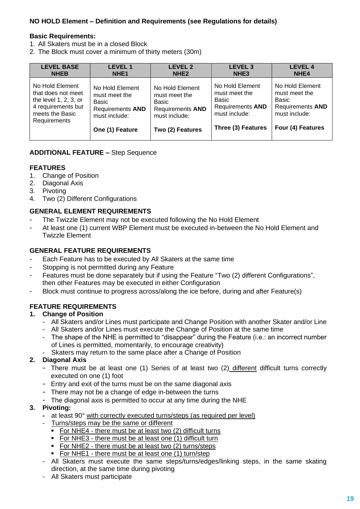# **NO HOLD Element – Definition and Requirements (see Regulations for details)**

#### **Basic Requirements:**

- 1. All Skaters must be in a closed Block
- 2. The Block must cover a minimum of thirty meters (30m)

| <b>LEVEL BASE</b>        | <b>LEVEL 1</b>          | <b>LEVEL 2</b>          | <b>LEVEL 3</b>          | <b>LEVEL 4</b>          |
|--------------------------|-------------------------|-------------------------|-------------------------|-------------------------|
| <b>NHEB</b>              | NHE <sub>1</sub>        | NHE <sub>2</sub>        | NHE <sub>3</sub>        | NHE <sub>4</sub>        |
| No Hold Element          | No Hold Element         | No Hold Element         | No Hold Element         | No Hold Element         |
| that does not meet       | must meet the           | must meet the           | must meet the           | must meet the           |
| the level $1, 2, 3$ , or | Basic                   | Basic                   | Basic                   | Basic                   |
| 4 requirements but       | <b>Requirements AND</b> | <b>Requirements AND</b> | <b>Requirements AND</b> | <b>Requirements AND</b> |
| meets the Basic          | must include:           | must include:           | must include:           | must include:           |
| Requirements             | One (1) Feature         | Two (2) Features        | Three (3) Features      | Four (4) Features       |

#### **ADDITIONAL FEATURE –** Step Sequence

#### **FEATURES**

- 1. Change of Position
- 2. Diagonal Axis
- 3. Pivoting
- 4. Two (2) Different Configurations

#### **GENERAL ELEMENT REQUIREMENTS**

- The Twizzle Element may not be executed following the No Hold Element
- At least one (1) current WBP Element must be executed in-between the No Hold Element and Twizzle Element

#### **GENERAL FEATURE REQUIREMENTS**

- Each Feature has to be executed by All Skaters at the same time
- Stopping is not permitted during any Feature
- Features must be done separately but if using the Feature "Two (2) different Configurations", then other Features may be executed in either Configuration
- Block must continue to progress across/along the ice before, during and after Feature(s)

#### **FEATURE REQUIREMENTS**

#### **1. Change of Position**

- All Skaters and/or Lines must participate and Change Position with another Skater and/or Line
- All Skaters and/or Lines must execute the Change of Position at the same time
- The shape of the NHE is permitted to "disappear" during the Feature (i.e.: an incorrect number of Lines is permitted, momentarily, to encourage creativity)
- Skaters may return to the same place after a Change of Position

#### **2. Diagonal Axis**

- There must be at least one (1) Series of at least two (2) different difficult turns correctly executed on one (1) foot
- Entry and exit of the turns must be on the same diagonal axis
- There may not be a change of edge in-between the turns
- The diagonal axis is permitted to occur at any time during the NHE

#### **3. Pivoting:**

- at least 90° with correctly executed turns/steps (as required per level)
	- Turns/steps may be the same or different
	- For NHE4 there must be at least two (2) difficult turns
	- **For NHE3 there must be at least one (1) difficult turn**
	- For NHE2 there must be at least two (2) turns/steps
	- For NHE1 there must be at least one (1) turn/step
- All Skaters must execute the same steps/turns/edges/linking steps, in the same skating direction, at the same time during pivoting
- All Skaters must participate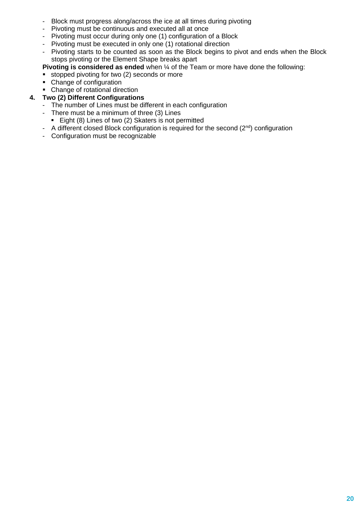- Block must progress along/across the ice at all times during pivoting
- Pivoting must be continuous and executed all at once
- Pivoting must occur during only one (1) configuration of a Block
- Pivoting must be executed in only one (1) rotational direction
- Pivoting starts to be counted as soon as the Block begins to pivot and ends when the Block stops pivoting or the Element Shape breaks apart

**Pivoting is considered as ended** when ¼ of the Team or more have done the following:

- stopped pivoting for two (2) seconds or more
- Change of configuration
- Change of rotational direction
- **4. Two (2) Different Configurations**
	- The number of Lines must be different in each configuration
	- There must be a minimum of three (3) Lines
		- Eight (8) Lines of two (2) Skaters is not permitted
	- A different closed Block configuration is required for the second  $(2^{nd})$  configuration
	- Configuration must be recognizable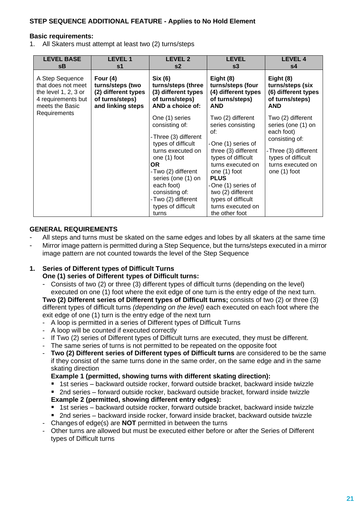#### **Basic requirements:**

1. All Skaters must attempt at least two (2) turns/steps

| <b>LEVEL BASE</b>      | <b>LEVEL 1</b>      | <b>LEVEL 2</b>                                                                                                                                                                                                                                              | <b>LEVEL</b>                                                                                                                                                                                                                                                                 | <b>LEVEL 4</b>                                                                                                                                             |
|------------------------|---------------------|-------------------------------------------------------------------------------------------------------------------------------------------------------------------------------------------------------------------------------------------------------------|------------------------------------------------------------------------------------------------------------------------------------------------------------------------------------------------------------------------------------------------------------------------------|------------------------------------------------------------------------------------------------------------------------------------------------------------|
| sΒ                     | s1                  | s2                                                                                                                                                                                                                                                          | s3                                                                                                                                                                                                                                                                           | s4                                                                                                                                                         |
| A Step Sequence        | Four $(4)$          | Six (6)                                                                                                                                                                                                                                                     | Eight (8)                                                                                                                                                                                                                                                                    | Eight (8)                                                                                                                                                  |
| that does not meet     | turns/steps (two    | turns/steps (three                                                                                                                                                                                                                                          | turns/steps (four                                                                                                                                                                                                                                                            | turns/steps (six                                                                                                                                           |
| the level $1, 2, 3$ or | (2) different types | (3) different types                                                                                                                                                                                                                                         | (4) different types                                                                                                                                                                                                                                                          | (6) different types                                                                                                                                        |
| 4 requirements but     | of turns/steps)     | of turns/steps)                                                                                                                                                                                                                                             | of turns/steps)                                                                                                                                                                                                                                                              | of turns/steps)                                                                                                                                            |
| meets the Basic        | and linking steps   | AND a choice of:                                                                                                                                                                                                                                            | <b>AND</b>                                                                                                                                                                                                                                                                   | <b>AND</b>                                                                                                                                                 |
| Requirements           |                     | One (1) series<br>consisting of:<br>-Three (3) different<br>types of difficult<br>turns executed on<br>one (1) foot<br>OR.<br>-Two (2) different<br>series (one (1) on<br>each foot)<br>consisting of:<br>-Two (2) different<br>types of difficult<br>turns | Two (2) different<br>series consisting<br>of:<br>-One (1) series of<br>three (3) different<br>types of difficult<br>turns executed on<br>one (1) foot<br><b>PLUS</b><br>-One (1) series of<br>two (2) different<br>types of difficult<br>turns executed on<br>the other foot | Two (2) different<br>series (one (1) on<br>each foot)<br>consisting of:<br>-Three (3) different<br>types of difficult<br>turns executed on<br>one (1) foot |

#### **GENERAL REQUIREMENTS**

- All steps and turns must be skated on the same edges and lobes by all skaters at the same time
- Mirror image pattern is permitted during a Step Sequence, but the turns/steps executed in a mirror image pattern are not counted towards the level of the Step Sequence

# **1. Series of Different types of Difficult Turns**

# **One (1) series of Different types of Difficult turns:**

Consists of two (2) or three (3) different types of difficult turns (depending on the level) executed on one (1) foot where the exit edge of one turn is the entry edge of the next turn.

**Two (2) Different series of Different types of Difficult turns;** consists of two (2) or three (3) different types of difficult turns *(depending on the level)* each executed on each foot where the exit edge of one (1) turn is the entry edge of the next turn

- A loop is permitted in a series of Different types of Difficult Turns
- A loop will be counted if executed correctly
- If Two (2) series of Different types of Difficult turns are executed, they must be different.
- The same series of turns is not permitted to be repeated on the opposite foot
- **Two (2) Different series of Different types of Difficult turns** are considered to be the same if they consist of the same turns done in the same order, on the same edge and in the same skating direction

#### **Example 1 (permitted, showing turns with different skating direction):**

- 1st series backward outside rocker, forward outside bracket, backward inside twizzle
- 2nd series forward outside rocker, backward outside bracket, forward inside twizzle **Example 2 (permitted, showing different entry edges):**
- 1st series backward outside rocker, forward outside bracket, backward inside twizzle
- 2nd series backward inside rocker, forward inside bracket, backward outside twizzle
- Changes of edge(s) are **NOT** permitted in between the turns
- Other turns are allowed but must be executed either before or after the Series of Different types of Difficult turns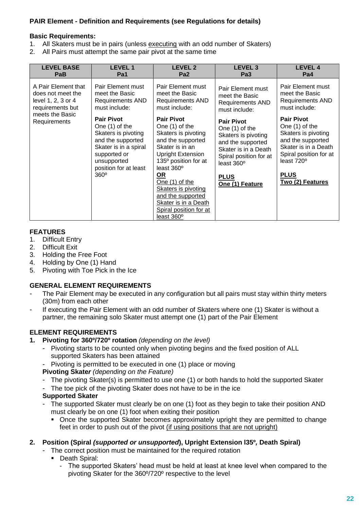# **PAIR Element - Definition and Requirements (see Regulations for details)**

#### **Basic Requirements:**

- 1. All Skaters must be in pairs (unless executing with an odd number of Skaters)
- 2. All Pairs must attempt the same pair pivot at the same time

| <b>LEVEL BASE</b>               | <b>LEVEL1</b>                                                                                                                                                                   | <b>LEVEL 2</b>                                                                                                                                                                                                                                                                                                                                        | <b>LEVEL 3</b>                                                                                                                                                                    | <b>LEVEL 4</b>                                                                                                                                                                                 |
|---------------------------------|---------------------------------------------------------------------------------------------------------------------------------------------------------------------------------|-------------------------------------------------------------------------------------------------------------------------------------------------------------------------------------------------------------------------------------------------------------------------------------------------------------------------------------------------------|-----------------------------------------------------------------------------------------------------------------------------------------------------------------------------------|------------------------------------------------------------------------------------------------------------------------------------------------------------------------------------------------|
| PaB                             | Pa1                                                                                                                                                                             | Pa <sub>2</sub>                                                                                                                                                                                                                                                                                                                                       | Pa <sub>3</sub>                                                                                                                                                                   | Pa4                                                                                                                                                                                            |
| A Pair Element that             | Pair Element must                                                                                                                                                               | Pair Element must                                                                                                                                                                                                                                                                                                                                     | Pair Element must                                                                                                                                                                 | Pair Element must                                                                                                                                                                              |
| does not meet the               | meet the Basic                                                                                                                                                                  | meet the Basic                                                                                                                                                                                                                                                                                                                                        | meet the Basic                                                                                                                                                                    | meet the Basic                                                                                                                                                                                 |
| level 1, 2, 3 or 4              | <b>Requirements AND</b>                                                                                                                                                         | Requirements AND                                                                                                                                                                                                                                                                                                                                      | <b>Requirements AND</b>                                                                                                                                                           | <b>Requirements AND</b>                                                                                                                                                                        |
| requirements but                | must include:                                                                                                                                                                   | must include:                                                                                                                                                                                                                                                                                                                                         | must include:                                                                                                                                                                     | must include:                                                                                                                                                                                  |
| meets the Basic<br>Requirements | <b>Pair Pivot</b><br>One (1) of the<br>Skaters is pivoting<br>and the supported<br>Skater is in a spiral<br>supported or<br>unsupported<br>position for at least<br>$360^\circ$ | <b>Pair Pivot</b><br>One (1) of the<br>Skaters is pivoting<br>and the supported<br>Skater is in an<br><b>Upright Extension</b><br>135 <sup>°</sup> position for at<br>least $360^\circ$<br><u>OR</u><br>One (1) of the<br><b>Skaters is pivoting</b><br>and the supported<br>Skater is in a Death<br>Spiral position for at<br>least 360 <sup>o</sup> | <b>Pair Pivot</b><br>One (1) of the<br>Skaters is pivoting<br>and the supported<br>Skater is in a Death<br>Spiral position for at<br>least 360°<br><b>PLUS</b><br>One (1) Feature | <b>Pair Pivot</b><br>One (1) of the<br>Skaters is pivoting<br>and the supported<br>Skater is in a Death<br>Spiral position for at<br>least 720 <sup>°</sup><br><b>PLUS</b><br>Two (2) Features |

#### **FEATURES**

- 1. Difficult Entry
- 2. Difficult Exit
- 3. Holding the Free Foot
- 4. Holding by One (1) Hand
- 5. Pivoting with Toe Pick in the Ice

#### **GENERAL ELEMENT REQUIREMENTS**

- The Pair Element may be executed in any configuration but all pairs must stay within thirty meters (30m) from each other
- If executing the Pair Element with an odd number of Skaters where one (1) Skater is without a partner, the remaining solo Skater must attempt one (1) part of the Pair Element

# **ELEMENT REQUIREMENTS**

#### **1. Pivoting for 360º/720º rotation** *(depending on the level)*

- Pivoting starts to be counted only when pivoting begins and the fixed position of ALL supported Skaters has been attained
- Pivoting is permitted to be executed in one (1) place or moving

#### **Pivoting Skate***r (depending on the Feature)*

- The pivoting Skater(s) is permitted to use one (1) or both hands to hold the supported Skater
- The toe pick of the pivoting Skater does not have to be in the ice

#### **Supported Skater**

- The supported Skater must clearly be on one (1) foot as they begin to take their position AND must clearly be on one (1) foot when exiting their position
	- Once the supported Skater becomes approximately upright they are permitted to change feet in order to push out of the pivot (if using positions that are not upright)

#### **2. Position (Spiral** *(supported or unsupported***), Upright Extension l35º***,* **Death Spiral)**

- The correct position must be maintained for the required rotation
	- Death Spiral:
		- The supported Skaters' head must be held at least at knee level when compared to the pivoting Skater for the 360º/720º respective to the level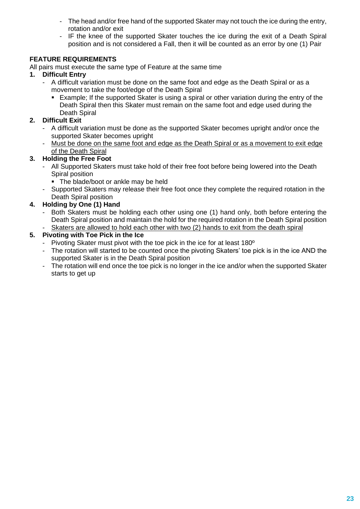- The head and/or free hand of the supported Skater may not touch the ice during the entry, rotation and/or exit
- IF the knee of the supported Skater touches the ice during the exit of a Death Spiral position and is not considered a Fall, then it will be counted as an error by one (1) Pair

# **FEATURE REQUIREMENTS**

All pairs must execute the same type of Feature at the same time

- **1. Difficult Entry** 
	- A difficult variation must be done on the same foot and edge as the Death Spiral or as a movement to take the foot/edge of the Death Spiral
		- **Example; If the supported Skater is using a spiral or other variation during the entry of the** Death Spiral then this Skater must remain on the same foot and edge used during the Death Spiral

# **2. Difficult Exit**

- A difficult variation must be done as the supported Skater becomes upright and/or once the supported Skater becomes upright
- Must be done on the same foot and edge as the Death Spiral or as a movement to exit edge of the Death Spiral

# **3. Holding the Free Foot**

- All Supported Skaters must take hold of their free foot before being lowered into the Death Spiral position
	- **The blade/boot or ankle may be held**
- Supported Skaters may release their free foot once they complete the required rotation in the Death Spiral position

# **4. Holding by One (1) Hand**

- Both Skaters must be holding each other using one (1) hand only, both before entering the Death Spiral position and maintain the hold for the required rotation in the Death Spiral position
- Skaters are allowed to hold each other with two (2) hands to exit from the death spiral

# **5. Pivoting with Toe Pick in the Ice**

- Pivoting Skater must pivot with the toe pick in the ice for at least 180<sup>°</sup>
- The rotation will started to be counted once the pivoting Skaters' toe pick is in the ice AND the supported Skater is in the Death Spiral position
- The rotation will end once the toe pick is no longer in the ice and/or when the supported Skater starts to get up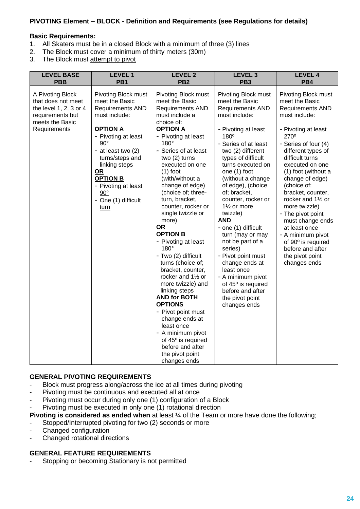#### **PIVOTING Element – BLOCK - Definition and Requirements (see Regulations for details)**

#### **Basic Requirements:**

- 1. All Skaters must be in a closed Block with a minimum of three (3) lines 2. The Block must cover a minimum of thirty meters (30m)
- The Block must cover a minimum of thirty meters (30m)
- 3. The Block must attempt to pivot

| <b>LEVEL BASE</b>                                                                                                       | <b>LEVEL 1</b>                                                                                                                                                                                                                                                                                            | <b>LEVEL 2</b>                                                                                                                                                                                                                                                                                                                                                                                                                                                                                                                                                                                                                                                                                                                                              | <b>LEVEL 3</b>                                                                                                                                                                                                                                                                                                                                                                                                                                                                                                                                                                            | <b>LEVEL 4</b>                                                                                                                                                                                                                                                                                                                                                                                                                                                                        |
|-------------------------------------------------------------------------------------------------------------------------|-----------------------------------------------------------------------------------------------------------------------------------------------------------------------------------------------------------------------------------------------------------------------------------------------------------|-------------------------------------------------------------------------------------------------------------------------------------------------------------------------------------------------------------------------------------------------------------------------------------------------------------------------------------------------------------------------------------------------------------------------------------------------------------------------------------------------------------------------------------------------------------------------------------------------------------------------------------------------------------------------------------------------------------------------------------------------------------|-------------------------------------------------------------------------------------------------------------------------------------------------------------------------------------------------------------------------------------------------------------------------------------------------------------------------------------------------------------------------------------------------------------------------------------------------------------------------------------------------------------------------------------------------------------------------------------------|---------------------------------------------------------------------------------------------------------------------------------------------------------------------------------------------------------------------------------------------------------------------------------------------------------------------------------------------------------------------------------------------------------------------------------------------------------------------------------------|
| <b>PBB</b>                                                                                                              | PB <sub>1</sub>                                                                                                                                                                                                                                                                                           | PB <sub>2</sub>                                                                                                                                                                                                                                                                                                                                                                                                                                                                                                                                                                                                                                                                                                                                             | PB <sub>3</sub>                                                                                                                                                                                                                                                                                                                                                                                                                                                                                                                                                                           | PB4                                                                                                                                                                                                                                                                                                                                                                                                                                                                                   |
| A Pivoting Block<br>that does not meet<br>the level 1, 2, 3 or 4<br>requirements but<br>meets the Basic<br>Requirements | Pivoting Block must<br>meet the Basic<br><b>Requirements AND</b><br>must include:<br><b>OPTION A</b><br>- Pivoting at least<br>$90^\circ$<br>- at least two (2)<br>turns/steps and<br>linking steps<br><u>OR</u><br><b>OPTION B</b><br>- Pivoting at least<br>$90^{\circ}$<br>- One (1) difficult<br>turn | Pivoting Block must<br>meet the Basic<br><b>Requirements AND</b><br>must include a<br>choice of:<br><b>OPTION A</b><br>- Pivoting at least<br>180°<br>- Series of at least<br>two (2) turns<br>executed on one<br>$(1)$ foot<br>(with/without a<br>change of edge)<br>(choice of; three-<br>turn, bracket,<br>counter, rocker or<br>single twizzle or<br>more)<br><b>OR</b><br><b>OPTION B</b><br>- Pivoting at least<br>180°<br>- Two (2) difficult<br>turns (choice of;<br>bracket, counter,<br>rocker and 11/2 or<br>more twizzle) and<br>linking steps<br><b>AND for BOTH</b><br><b>OPTIONS</b><br>- Pivot point must<br>change ends at<br>least once<br>- A minimum pivot<br>of 45° is required<br>before and after<br>the pivot point<br>changes ends | Pivoting Block must<br>meet the Basic<br>Requirements AND<br>must include:<br>- Pivoting at least<br>180°<br>- Series of at least<br>two (2) different<br>types of difficult<br>turns executed on<br>one (1) foot<br>(without a change<br>of edge), (choice<br>of; bracket,<br>counter, rocker or<br>11/ <sub>2</sub> or more<br>twizzle)<br><b>AND</b><br>- one (1) difficult<br>turn (may or may<br>not be part of a<br>series)<br>- Pivot point must<br>change ends at<br>least once<br>- A minimum pivot<br>of 45° is required<br>before and after<br>the pivot point<br>changes ends | Pivoting Block must<br>meet the Basic<br><b>Requirements AND</b><br>must include:<br>- Pivoting at least<br>270°<br>- Series of four (4)<br>different types of<br>difficult turns<br>executed on one<br>(1) foot (without a<br>change of edge)<br>(choice of;<br>bracket, counter,<br>rocker and 11/2 or<br>more twizzle)<br>- The pivot point<br>must change ends<br>at least once<br>- A minimum pivot<br>of 90° is required<br>before and after<br>the pivot point<br>changes ends |

#### **GENERAL PIVOTING REQUIREMENTS**

- Block must progress along/across the ice at all times during pivoting
- Pivoting must be continuous and executed all at once
- Pivoting must occur during only one (1) configuration of a Block
- Pivoting must be executed in only one (1) rotational direction

**Pivoting is considered as ended when** at least ¼ of the Team or more have done the following;

- Stopped/Interrupted pivoting for two (2) seconds or more
- Changed configuration
- Changed rotational directions

#### **GENERAL FEATURE REQUIREMENTS**

Stopping or becoming Stationary is not permitted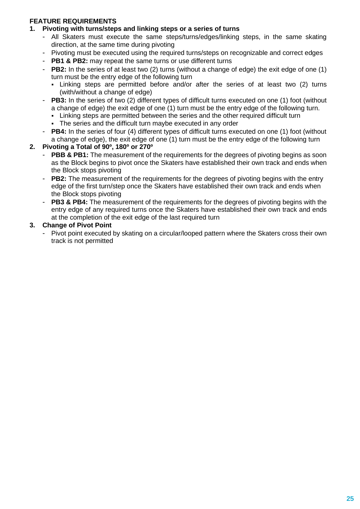# **FEATURE REQUIREMENTS**

#### **1. Pivoting with turns/steps and linking steps or a series of turns**

- All Skaters must execute the same steps/turns/edges/linking steps, in the same skating direction, at the same time during pivoting
- Pivoting must be executed using the required turns/steps on recognizable and correct edges
- **PB1 & PB2:** may repeat the same turns or use different turns
- **PB2:** In the series of at least two (2) turns (without a change of edge) the exit edge of one (1) turn must be the entry edge of the following turn
	- Linking steps are permitted before and/or after the series of at least two (2) turns (with/without a change of edge)
- **PB3:** In the series of two (2) different types of difficult turns executed on one (1) foot (without a change of edge) the exit edge of one (1) turn must be the entry edge of the following turn.
	- **EXECT** Linking steps are permitted between the series and the other required difficult turn
	- **The series and the difficult turn maybe executed in any order**
- **PB4:** In the series of four (4) different types of difficult turns executed on one (1) foot (without a change of edge), the exit edge of one (1) turn must be the entry edge of the following turn

#### **2. Pivoting a Total of 90º, 180º or 270º**

- **PBB & PB1:** The measurement of the requirements for the degrees of pivoting begins as soon as the Block begins to pivot once the Skaters have established their own track and ends when the Block stops pivoting
- **PB2:** The measurement of the requirements for the degrees of pivoting begins with the entry edge of the first turn/step once the Skaters have established their own track and ends when the Block stops pivoting
- **PB3 & PB4:** The measurement of the requirements for the degrees of pivoting begins with the entry edge of any required turns once the Skaters have established their own track and ends at the completion of the exit edge of the last required turn

#### **3. Change of Pivot Point**

Pivot point executed by skating on a circular/looped pattern where the Skaters cross their own track is not permitted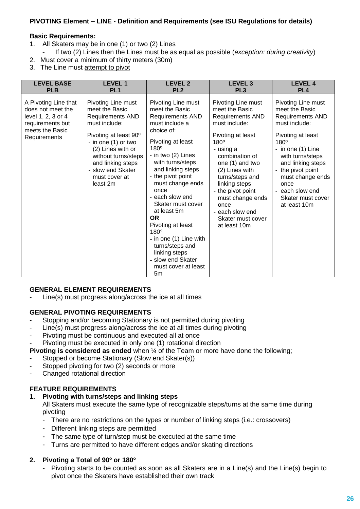## **PIVOTING Element – LINE - Definition and Requirements (see ISU Regulations for details)**

#### **Basic Requirements:**

- 1. All Skaters may be in one (1) or two (2) Lines
- If two (2) Lines then the Lines must be as equal as possible (*exception: during creativity*)
- 2. Must cover a minimum of thirty meters (30m)
- 3. The Line must attempt to pivot

| <b>LEVEL BASE</b>                                                                                                      | <b>LEVEL1</b>                                                                                                                                                                                                                                       | <b>LEVEL 2</b>                                                                                                                                                                                                                                                                                                                                                                                                                                                              | <b>LEVEL 3</b>                                                                                                                                                                                                                                                                                                                 | <b>LEVEL 4</b>                                                                                                                                                                                                                                                                       |
|------------------------------------------------------------------------------------------------------------------------|-----------------------------------------------------------------------------------------------------------------------------------------------------------------------------------------------------------------------------------------------------|-----------------------------------------------------------------------------------------------------------------------------------------------------------------------------------------------------------------------------------------------------------------------------------------------------------------------------------------------------------------------------------------------------------------------------------------------------------------------------|--------------------------------------------------------------------------------------------------------------------------------------------------------------------------------------------------------------------------------------------------------------------------------------------------------------------------------|--------------------------------------------------------------------------------------------------------------------------------------------------------------------------------------------------------------------------------------------------------------------------------------|
| <b>PLB</b>                                                                                                             | PL <sub>1</sub>                                                                                                                                                                                                                                     | PL <sub>2</sub>                                                                                                                                                                                                                                                                                                                                                                                                                                                             | PL <sub>3</sub>                                                                                                                                                                                                                                                                                                                | PL <sub>4</sub>                                                                                                                                                                                                                                                                      |
| A Pivoting Line that<br>does not meet the<br>level 1, 2, 3 or 4<br>requirements but<br>meets the Basic<br>Requirements | Pivoting Line must<br>meet the Basic<br><b>Requirements AND</b><br>must include:<br>Pivoting at least 90°<br>- in one (1) or two<br>(2) Lines with or<br>without turns/steps<br>and linking steps<br>- slow end Skater<br>must cover at<br>least 2m | Pivoting Line must<br>meet the Basic<br><b>Requirements AND</b><br>must include a<br>choice of:<br>Pivoting at least<br>$180^\circ$<br>- in two (2) Lines<br>with turns/steps<br>and linking steps<br>- the pivot point<br>must change ends<br>once<br>- each slow end<br>Skater must cover<br>at least 5m<br><b>OR</b><br>Pivoting at least<br>$180^\circ$<br>- in one (1) Line with<br>turns/steps and<br>linking steps<br>- slow end Skater<br>must cover at least<br>5m | Pivoting Line must<br>meet the Basic<br><b>Requirements AND</b><br>must include:<br>Pivoting at least<br>180°<br>- using a<br>combination of<br>one (1) and two<br>(2) Lines with<br>turns/steps and<br>linking steps<br>- the pivot point<br>must change ends<br>once<br>- each slow end<br>Skater must cover<br>at least 10m | Pivoting Line must<br>meet the Basic<br>Requirements AND<br>must include:<br>Pivoting at least<br>$180^\circ$<br>- in one $(1)$ Line<br>with turns/steps<br>and linking steps<br>- the pivot point<br>must change ends<br>once<br>each slow end<br>Skater must cover<br>at least 10m |

#### **GENERAL ELEMENT REQUIREMENTS**

Line(s) must progress along/across the ice at all times

#### **GENERAL PIVOTING REQUIREMENTS**

- Stopping and/or becoming Stationary is not permitted during pivoting
- Line(s) must progress along/across the ice at all times during pivoting
- Pivoting must be continuous and executed all at once
- Pivoting must be executed in only one (1) rotational direction

# **Pivoting is considered as ended** when ¼ of the Team or more have done the following;

- Stopped or become Stationary (Slow end Skater(s))
- Stopped pivoting for two (2) seconds or more
- Changed rotational direction

#### **FEATURE REQUIREMENTS**

#### **1. Pivoting with turns/steps and linking steps**

All Skaters must execute the same type of recognizable steps/turns at the same time during pivoting

- There are no restrictions on the types or number of linking steps (i.e.: crossovers)
- Different linking steps are permitted
- The same type of turn/step must be executed at the same time
- Turns are permitted to have different edges and/or skating directions

#### **2. Pivoting a Total of 90º or 180º**

Pivoting starts to be counted as soon as all Skaters are in a Line(s) and the Line(s) begin to pivot once the Skaters have established their own track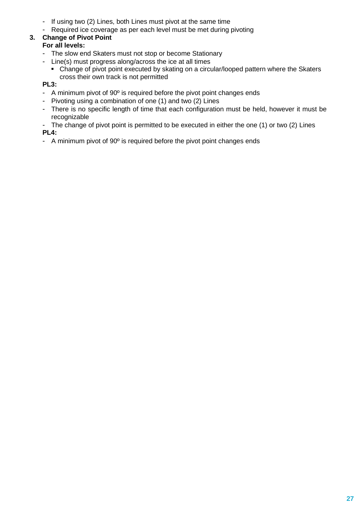- If using two (2) Lines, both Lines must pivot at the same time<br>- Required ice coverage as per each level must be met during in
- Required ice coverage as per each level must be met during pivoting

#### **3. Change of Pivot Point For all levels:**

- The slow end Skaters must not stop or become Stationary
- Line(s) must progress along/across the ice at all times
	- Change of pivot point executed by skating on a circular/looped pattern where the Skaters cross their own track is not permitted

# **PL3:**

- A minimum pivot of 90<sup>°</sup> is required before the pivot point changes ends
- Pivoting using a combination of one (1) and two (2) Lines
- There is no specific length of time that each configuration must be held, however it must be recognizable
- The change of pivot point is permitted to be executed in either the one (1) or two (2) Lines **PL4:**
- A minimum pivot of 90º is required before the pivot point changes ends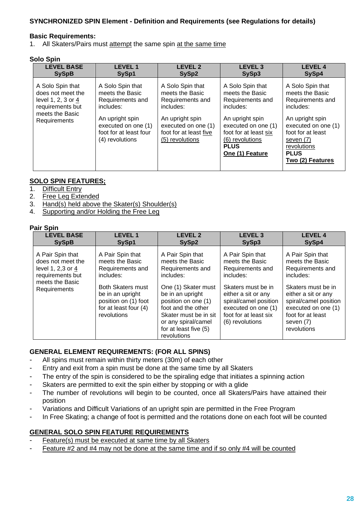## **SYNCHRONIZED SPIN Element - Definition and Requirements (see Regulations for details)**

#### **Basic Requirements:**

1. All Skaters/Pairs must attempt the same spin at the same time

#### **Solo Spin**

| <b>LEVEL BASE</b>                                                                                                  | <b>LEVEL 1</b>                                                                                                                                              | <b>LEVEL 2</b>                                                                                                                                              | <b>LEVEL 3</b>                                                                                                                                                                               | <b>LEVEL 4</b>                                                                                                                                                                                     |
|--------------------------------------------------------------------------------------------------------------------|-------------------------------------------------------------------------------------------------------------------------------------------------------------|-------------------------------------------------------------------------------------------------------------------------------------------------------------|----------------------------------------------------------------------------------------------------------------------------------------------------------------------------------------------|----------------------------------------------------------------------------------------------------------------------------------------------------------------------------------------------------|
| <b>SySpB</b>                                                                                                       | SySp1                                                                                                                                                       | SySp2                                                                                                                                                       | SySp3                                                                                                                                                                                        | SySp4                                                                                                                                                                                              |
| A Solo Spin that<br>does not meet the<br>level 1, 2, 3 or 4<br>requirements but<br>meets the Basic<br>Requirements | A Solo Spin that<br>meets the Basic<br>Requirements and<br>includes:<br>An upright spin<br>executed on one (1)<br>foot for at least four<br>(4) revolutions | A Solo Spin that<br>meets the Basic<br>Requirements and<br>includes:<br>An upright spin<br>executed on one (1)<br>foot for at least five<br>(5) revolutions | A Solo Spin that<br>meets the Basic<br>Requirements and<br>includes:<br>An upright spin<br>executed on one (1)<br>foot for at least six<br>(6) revolutions<br><b>PLUS</b><br>One (1) Feature | A Solo Spin that<br>meets the Basic<br>Requirements and<br>includes:<br>An upright spin<br>executed on one (1)<br>foot for at least<br>seven (7)<br>revolutions<br><b>PLUS</b><br>Two (2) Features |

#### **SOLO SPIN FEATURES;**

- 1. Difficult Entry
- 2. Free Leg Extended
- 3. Hand(s) held above the Skater(s) Shoulder(s)
- 4. Supporting and/or Holding the Free Leg

#### **Pair Spin**

| <b>LEVEL BASE</b>                                                                                                 | <b>LEVEL1</b>                                                                                                                                                                        | <b>LEVEL 2</b>                                                                                                                                                                                                                                       | <b>LEVEL 3</b>                                                                                                                                                                                                | <b>LEVEL 4</b>                                                                                                                                                                                                     |
|-------------------------------------------------------------------------------------------------------------------|--------------------------------------------------------------------------------------------------------------------------------------------------------------------------------------|------------------------------------------------------------------------------------------------------------------------------------------------------------------------------------------------------------------------------------------------------|---------------------------------------------------------------------------------------------------------------------------------------------------------------------------------------------------------------|--------------------------------------------------------------------------------------------------------------------------------------------------------------------------------------------------------------------|
| <b>SySpB</b>                                                                                                      | SySp1                                                                                                                                                                                | SySp2                                                                                                                                                                                                                                                | SySp3                                                                                                                                                                                                         | SySp4                                                                                                                                                                                                              |
| A Pair Spin that<br>does not meet the<br>level 1, 2,3 or 4<br>requirements but<br>meets the Basic<br>Requirements | A Pair Spin that<br>meets the Basic<br>Requirements and<br>includes:<br><b>Both Skaters must</b><br>be in an upright<br>position on (1) foot<br>for at least four (4)<br>revolutions | A Pair Spin that<br>meets the Basic<br>Requirements and<br>includes:<br>One (1) Skater must<br>be in an upright<br>position on one (1)<br>foot and the other<br>Skater must be in sit<br>or any spiral/camel<br>for at least five (5)<br>revolutions | A Pair Spin that<br>meets the Basic<br>Requirements and<br>includes:<br>Skaters must be in<br>either a sit or any<br>spiral/camel position<br>executed on one (1)<br>foot for at least six<br>(6) revolutions | A Pair Spin that<br>meets the Basic<br>Requirements and<br>includes:<br>Skaters must be in<br>either a sit or any<br>spiral/camel position<br>executed on one (1)<br>foot for at least<br>seven (7)<br>revolutions |

#### **GENERAL ELEMENT REQUIREMENTS: (FOR ALL SPINS)**

- All spins must remain within thirty meters (30m) of each other
- Entry and exit from a spin must be done at the same time by all Skaters
- The entry of the spin is considered to be the spiraling edge that initiates a spinning action
- Skaters are permitted to exit the spin either by stopping or with a glide
- The number of revolutions will begin to be counted, once all Skaters/Pairs have attained their position
- Variations and Difficult Variations of an upright spin are permitted in the Free Program
- In Free Skating; a change of foot is permitted and the rotations done on each foot will be counted

#### **GENERAL SOLO SPIN FEATURE REQUIREMENTS**

- Feature(s) must be executed at same time by all Skaters
- Feature #2 and #4 may not be done at the same time and if so only #4 will be counted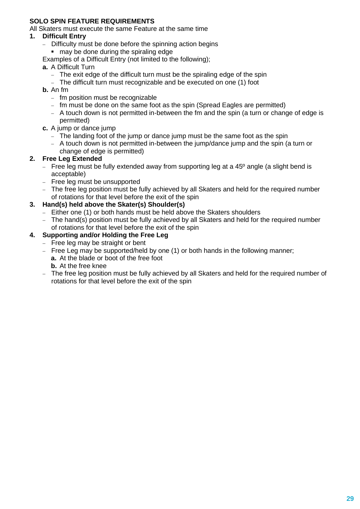#### **SOLO SPIN FEATURE REQUIREMENTS**

All Skaters must execute the same Feature at the same time

#### **1. Difficult Entry**

- − Difficulty must be done before the spinning action begins
	- may be done during the spiraling edge
- Examples of a Difficult Entry (not limited to the following);
- **a.** A Difficult Turn
	- − The exit edge of the difficult turn must be the spiraling edge of the spin
	- − The difficult turn must recognizable and be executed on one (1) foot
- **b.** An fm
	- − fm position must be recognizable
	- − fm must be done on the same foot as the spin (Spread Eagles are permitted)
	- − A touch down is not permitted in-between the fm and the spin (a turn or change of edge is permitted)
- **c.** A jump or dance jump
	- − The landing foot of the jump or dance jump must be the same foot as the spin
	- − A touch down is not permitted in-between the jump/dance jump and the spin (a turn or change of edge is permitted)

#### **2. Free Leg Extended**

- − Free leg must be fully extended away from supporting leg at a 45<sup>o</sup> angle (a slight bend is acceptable)
- − Free leg must be unsupported
- − The free leg position must be fully achieved by all Skaters and held for the required number of rotations for that level before the exit of the spin

#### **3. Hand(s) held above the Skater(s) Shoulder(s)**

- − Either one (1) or both hands must be held above the Skaters shoulders
- − The hand(s) position must be fully achieved by all Skaters and held for the required number of rotations for that level before the exit of the spin

# **4. Supporting and/or Holding the Free Leg**

- − Free leg may be straight or bent
- − Free Leg may be supported/held by one (1) or both hands in the following manner;
	- **a.** At the blade or boot of the free foot **b.** At the free knee
- − The free leg position must be fully achieved by all Skaters and held for the required number of rotations for that level before the exit of the spin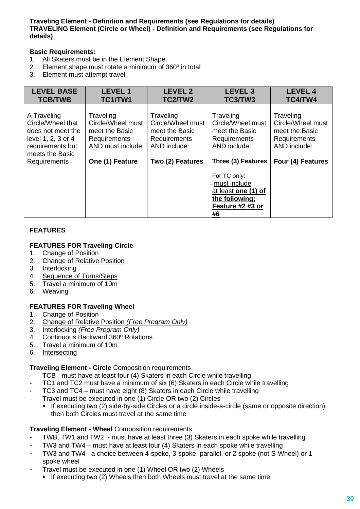#### **Traveling Element - Definition and Requirements (see Regulations for details) TRAVELING Element (Circle or Wheel) - Definition and Requirements (see Regulations for details)**

#### **Basic Requirements:**

- 1. All Skaters must be in the Element Shape
- 2. Element shape must rotate a minimum of 360º in total
- 3. Element must attempt travel

| <b>LEVEL BASE</b><br><b>TCB/TWB</b>                                                                                | <b>LEVEL1</b><br>TC1/TW1                                                                     | <b>LEVEL 2</b><br>TC2/TW2                                                        | <b>LEVEL 3</b><br>TC3/TW3                                                                       | <b>LEVEL 4</b><br>TC4/TW4                                                        |
|--------------------------------------------------------------------------------------------------------------------|----------------------------------------------------------------------------------------------|----------------------------------------------------------------------------------|-------------------------------------------------------------------------------------------------|----------------------------------------------------------------------------------|
| A Traveling<br>Circle/Wheel that<br>does not meet the<br>level 1, 2, 3 or 4<br>requirements but<br>meets the Basic | Traveling<br>Circle/Wheel must<br>meet the Basic<br><b>Requirements</b><br>AND must include: | Traveling<br>Circle/Wheel must<br>meet the Basic<br>Requirements<br>AND include: | Traveling<br>Circle/Wheel must<br>meet the Basic<br>Requirements<br>AND include:                | Traveling<br>Circle/Wheel must<br>meet the Basic<br>Requirements<br>AND include: |
| <b>Requirements</b>                                                                                                | One (1) Feature                                                                              | Two (2) Features                                                                 | Three (3) Features                                                                              | Four (4) Features                                                                |
|                                                                                                                    |                                                                                              |                                                                                  | For TC only:<br>must include<br>at least one (1) of<br>the following;<br>Feature #2 #3 or<br>#6 |                                                                                  |

#### **FEATURES**

#### **FEATURES FOR Traveling Circle**

- 1. Change of Position
- 2. Change of Relative Position 2. Change of R<br>3. Interlocking
- 
- 4. Sequence of Turns/Steps
- 5. Travel a minimum of 10m
- 6. Weaving

#### **FEATURES FOR Traveling Wheel**

- 1. Change of Position
- 2. Change of Relative Position *(Free Program Only)*
- 3. Interlocking *(Free Program Only)*
- 4. Continuous Backward 360º Rotations
- 5. Travel a minimum of 10m
- 6. Intersecting

#### **Traveling Element - Circle** Composition requirements

- TCB must have at least four (4) Skaters in each Circle while travelling
- TC1 and TC2 must have a minimum of six (6) Skaters in each Circle while travelling
- TC3 and TC4 must have eight (8) Skaters in each Circle while travelling
- Travel must be executed in one (1) Circle OR two (2) Circles
	- If executing two (2) side-by-side Circles or a circle inside-a-circle (same or opposite direction) then both Circles must travel at the same time

#### **Traveling Element - Wheel** Composition requirements

- TWB, TW1 and TW2 must have at least three (3) Skaters in each spoke while travelling
- TW3 and TW4 must have at least four (4) Skaters in each spoke while travelling
- TW3 and TW4 a choice between 4-spoke, 3-spoke, parallel, or 2 spoke (not S-Wheel) or 1 spoke wheel
- Travel must be executed in one (1) Wheel OR two (2) Wheels
	- **.** If executing two (2) Wheels then both Wheels must travel at the same time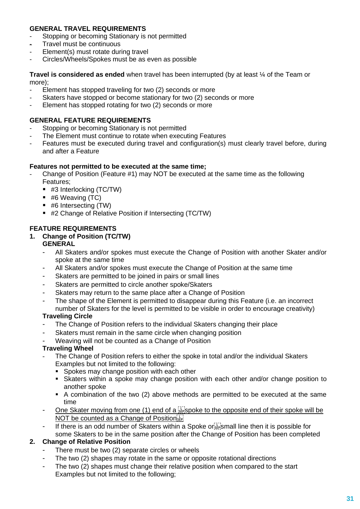# **GENERAL TRAVEL REQUIREMENTS**

- Stopping or becoming Stationary is not permitted
- Travel must be continuous
- Element(s) must rotate during travel
- Circles/Wheels/Spokes must be as even as possible

**Travel is considered as ended** when travel has been interrupted (by at least ¼ of the Team or more);

- Element has stopped traveling for two (2) seconds or more
- Skaters have stopped or become stationary for two (2) seconds or more
- Element has stopped rotating for two (2) seconds or more

#### **GENERAL FEATURE REQUIREMENTS**

- Stopping or becoming Stationary is not permitted
- The Element must continue to rotate when executing Features
- Features must be executed during travel and configuration(s) must clearly travel before, during and after a Feature

#### **Features not permitted to be executed at the same time;**

- Change of Position (Feature #1) may NOT be executed at the same time as the following Features;
	- #3 Interlocking (TC/TW)
	- #6 Weaving (TC)
	- $\blacksquare$  #6 Intersecting (TW)
	- #2 Change of Relative Position if Intersecting (TC/TW)

#### **FEATURE REQUIREMENTS**

#### **1. Change of Position (TC/TW)**

#### **GENERAL**

- All Skaters and/or spokes must execute the Change of Position with another Skater and/or spoke at the same time
- All Skaters and/or spokes must execute the Change of Position at the same time
- Skaters are permitted to be joined in pairs or small lines
- Skaters are permitted to circle another spoke/Skaters
- Skaters may return to the same place after a Change of Position
- The shape of the Element is permitted to disappear during this Feature (i.e. an incorrect number of Skaters for the level is permitted to be visible in order to encourage creativity)

#### **Traveling Circle**

- The Change of Position refers to the individual Skaters changing their place
- Skaters must remain in the same circle when changing position
- Weaving will not be counted as a Change of Position

#### **Traveling Wheel**

- The Change of Position refers to either the spoke in total and/or the individual Skaters Examples but not limited to the following:
	- **Spokes may change position with each other**
	- Skaters within a spoke may change position with each other and/or change position to another spoke
	- A combination of the two (2) above methods are permitted to be executed at the same time
- One Skater moving from one (1) end of a  $\frac{1}{34}$  spoke to the opposite end of their spoke will be NOT be counted as a Change of Position<sup>[17]</sup>
- If there is an odd number of Skaters within a Spoke or  $\overline{S}$  mall line then it is possible for some Skaters to be in the same position after the Change of Position has been completed

#### **2. Change of Relative Position**

- There must be two (2) separate circles or wheels
- The two (2) shapes may rotate in the same or opposite rotational directions
- The two (2) shapes must change their relative position when compared to the start Examples but not limited to the following;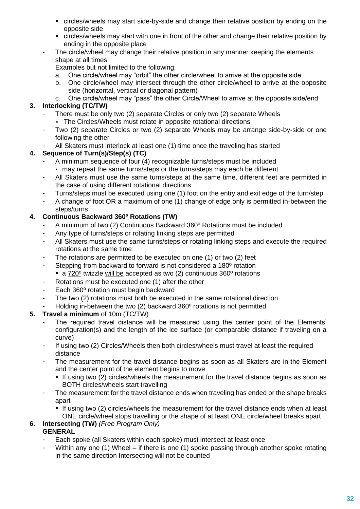- circles/wheels may start side-by-side and change their relative position by ending on the opposite side
- circles/wheels may start with one in front of the other and change their relative position by ending in the opposite place
- The circle/wheel mav change their relative position in any manner keeping the elements shape at all times:

Examples but not limited to the following;

- a. One circle/wheel may "orbit" the other circle/wheel to arrive at the opposite side
- b. One circle/wheel may intersect through the other circle/wheel to arrive at the opposite side (horizontal, vertical or diagonal pattern)
- c. One circle/wheel may "pass" the other Circle/Wheel to arrive at the opposite side/end

# **3. Interlocking (TC/TW)**

- There must be only two (2) separate Circles or only two (2) separate Wheels
	- **EXECT** The Circles/Wheels must rotate in opposite rotational directions
- Two (2) separate Circles or two (2) separate Wheels may be arrange side-by-side or one following the other
- All Skaters must interlock at least one (1) time once the traveling has started

#### **4. Sequence of Turn(s)/Step(s) (TC)**

- A minimum sequence of four (4) recognizable turns/steps must be included ■ may repeat the same turns/steps or the turns/steps may each be different
- All Skaters must use the same turns/steps at the same time, different feet are permitted in the case of using different rotational directions
- Turns/steps must be executed using one (1) foot on the entry and exit edge of the turn/step
- A change of foot OR a maximum of one (1) change of edge only is permitted in-between the steps/turns

# **4. Continuous Backward 360º Rotations (TW)**

- A minimum of two (2) Continuous Backward 360° Rotations must be included
- Any type of turns/steps or rotating linking steps are permitted
- All Skaters must use the same turns/steps or rotating linking steps and execute the required rotations at the same time
- The rotations are permitted to be executed on one (1) or two (2) feet
- Stepping from backward to forward is not considered a 180<sup>°</sup> rotation  $\blacksquare$  a 720<sup>o</sup> twizzle will be accepted as two (2) continuous 360<sup>o</sup> rotations
- Rotations must be executed one (1) after the other
- Each 360º rotation must begin backward
- The two (2) rotations must both be executed in the same rotational direction
- Holding in-between the two (2) backward 360° rotations is not permitted

#### **5. Travel a minimum** of 10m (TC/TW)

- The required travel distance will be measured using the center point of the Elements' configuration(s) and the length of the ice surface (or comparable distance if traveling on a curve)
- If using two (2) Circles/Wheels then both circles/wheels must travel at least the required distance
- The measurement for the travel distance begins as soon as all Skaters are in the Element and the center point of the element begins to move
	- **.** If using two (2) circles/wheels the measurement for the travel distance begins as soon as BOTH circles/wheels start travelling
- The measurement for the travel distance ends when traveling has ended or the shape breaks apart
	- If using two (2) circles/wheels the measurement for the travel distance ends when at least ONE circle/wheel stops travelling or the shape of at least ONE circle/wheel breaks apart

# **6. Intersecting (TW)** *(Free Program Only)*

# **GENERAL**

- Each spoke (all Skaters within each spoke) must intersect at least once
- Within any one (1) Wheel if there is one (1) spoke passing through another spoke rotating in the same direction Intersecting will not be counted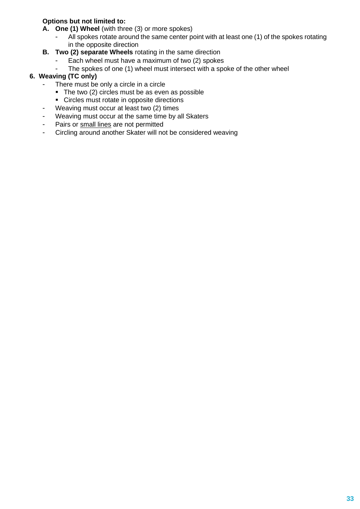# **Options but not limited to:**

- **A. One (1) Wheel** (with three (3) or more spokes)
	- All spokes rotate around the same center point with at least one (1) of the spokes rotating in the opposite direction
- **B. Two (2) separate Wheels** rotating in the same direction
	- Each wheel must have a maximum of two (2) spokes
	- The spokes of one (1) wheel must intersect with a spoke of the other wheel

#### **6. Weaving (TC only)**

- There must be only a circle in a circle
	- The two (2) circles must be as even as possible
	- Circles must rotate in opposite directions
- Weaving must occur at least two (2) times
- Weaving must occur at the same time by all Skaters
- Pairs or small lines are not permitted
- Circling around another Skater will not be considered weaving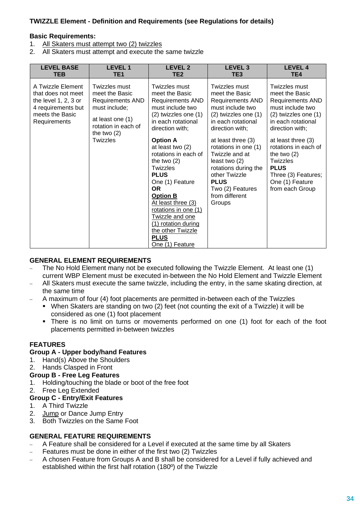# **TWIZZLE Element - Definition and Requirements (see Regulations for details)**

#### **Basic Requirements:**

- 1. All Skaters must attempt two (2) twizzles
- 2. All Skaters must attempt and execute the same twizzle

| A Twizzle Element<br>Twizzles must<br>Twizzles must<br>Twizzles must<br>Twizzles must<br>meet the Basic<br>meet the Basic<br>meet the Basic<br>meet the Basic<br>that does not meet<br>the level $1, 2, 3$ or<br><b>Requirements AND</b><br><b>Requirements AND</b><br><b>Requirements AND</b>                                                                                                                                                                                                                                                                                                                                                                                                                                                                                                                                                     | <b>LEVEL BASE</b><br><b>TEB</b> | <b>LEVEL 1</b><br>TE <sub>1</sub> | <b>LEVEL 2</b><br>TE2 | LEVEL <sub>3</sub><br>TE3 | <b>LEVEL 4</b><br>TE4                                                                                                                                                                 |
|----------------------------------------------------------------------------------------------------------------------------------------------------------------------------------------------------------------------------------------------------------------------------------------------------------------------------------------------------------------------------------------------------------------------------------------------------------------------------------------------------------------------------------------------------------------------------------------------------------------------------------------------------------------------------------------------------------------------------------------------------------------------------------------------------------------------------------------------------|---------------------------------|-----------------------------------|-----------------------|---------------------------|---------------------------------------------------------------------------------------------------------------------------------------------------------------------------------------|
| meets the Basic<br>$(2)$ twizzles one $(1)$<br>$(2)$ twizzles one $(1)$<br>at least one (1)<br>in each rotational<br>in each rotational<br>Requirements<br>rotation in each of<br>direction with;<br>direction with;<br>direction with;<br>the two $(2)$<br><b>Twizzles</b><br><b>Option A</b><br>at least three (3)<br>at least two (2)<br>rotations in one (1)<br>rotations in each of<br>Twizzle and at<br>the two $(2)$<br>the two $(2)$<br>Twizzles<br>least two $(2)$<br><b>PLUS</b><br>Twizzles<br>rotations during the<br><b>PLUS</b><br>other Twizzle<br>One (1) Feature<br><b>PLUS</b><br>One (1) Feature<br><b>OR</b><br>Two (2) Features<br>from different<br><b>Option B</b><br>At least three (3)<br>Groups<br>rotations in one (1)<br>Twizzle and one<br>(1) rotation during<br>the other Twizzle<br><b>PLUS</b><br>One (1) Feature | 4 requirements but              | must include;                     | must include two      | must include two          | <b>Requirements AND</b><br>must include two<br>$(2)$ twizzles one $(1)$<br>in each rotational<br>at least three (3)<br>rotations in each of<br>Three (3) Features;<br>from each Group |

#### **GENERAL ELEMENT REQUIREMENTS**

- − The No Hold Element many not be executed following the Twizzle Element. At least one (1) current WBP Element must be executed in-between the No Hold Element and Twizzle Element
- − All Skaters must execute the same twizzle, including the entry, in the same skating direction, at the same time
- − A maximum of four (4) foot placements are permitted in-between each of the Twizzles
	- When Skaters are standing on two (2) feet (not counting the exit of a Twizzle) it will be considered as one (1) foot placement
	- **.** There is no limit on turns or movements performed on one (1) foot for each of the foot placements permitted in-between twizzles

#### **FEATURES**

#### **Group A - Upper body/hand Features**

- 1. Hand(s) Above the Shoulders
- 2. Hands Clasped in Front

#### **Group B - Free Leg Features**

- 1. Holding/touching the blade or boot of the free foot
- 2. Free Leg Extended

#### **Group C - Entry/Exit Features**

- 1. A Third Twizzle
- 2. Jump or Dance Jump Entry
- 3. Both Twizzles on the Same Foot

#### **GENERAL FEATURE REQUIREMENTS**

- − A Feature shall be considered for a Level if executed at the same time by all Skaters
- Features must be done in either of the first two (2) Twizzles
- A chosen Feature from Groups A and B shall be considered for a Level if fully achieved and established within the first half rotation (180º) of the Twizzle